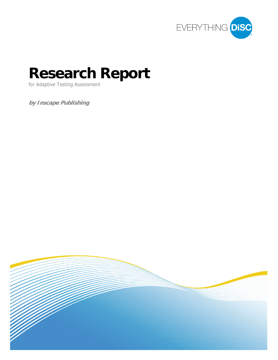

# **Research Report**

for Adaptive Testing Assessment

**by Inscape Publishing** 

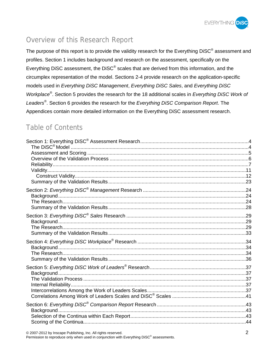

## Overview of this Research Report

The purpose of this report is to provide the validity research for the Everything DiSC<sup>®</sup> assessment and profiles. Section 1 includes background and research on the assessment, specifically on the Everything DiSC assessment, the DiSC<sup>®</sup> scales that are derived from this information, and the circumplex representation of the model. Sections 2-4 provide research on the application-specific models used in *Everything DiSC Management*, *Everything DiSC Sales*, and *Everything DiSC Workplace®*. Section 5 provides the research for the 18 additional scales in *Everything DiSC Work of Leaders®*. Section 6 provides the research for the *Everything DiSC Comparison Report*. The Appendices contain more detailed information on the Everything DiSC assessment research.

## Table of Contents

© 2007-2012 by Inscape Publishing, Inc. All rights reserved. 2

Permission to reproduce only when used in conjunction with Everything DiSC<sup>®</sup> assessments.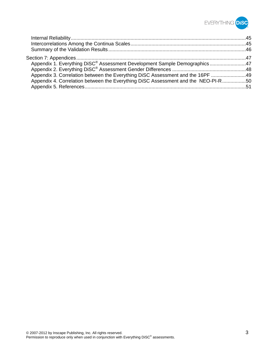

| Appendix 1. Everything DiSC <sup>®</sup> Assessment Development Sample Demographics47 |  |
|---------------------------------------------------------------------------------------|--|
|                                                                                       |  |
| Appendix 3. Correlation between the Everything DiSC Assessment and the 16PF 49        |  |
| Appendix 4. Correlation between the Everything DiSC Assessment and the NEO-PI-R50     |  |
|                                                                                       |  |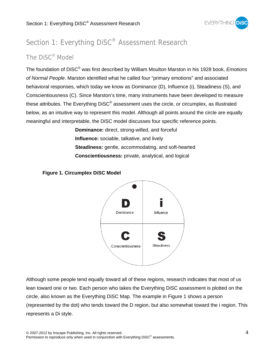

## Section 1: Everything DiSC<sup>®</sup> Assessment Research

## The DiSC® Model

The foundation of DiSC® was first described by William Moulton Marston in his 1928 book, *Emotions of Normal People*. Marston identified what he called four "primary emotions" and associated behavioral responses, which today we know as Dominance (D), Influence (i), Steadiness (S), and Conscientiousness (C). Since Marston's time, many instruments have been developed to measure these attributes. The Everything DiSC® assessment uses the circle, or circumplex, as illustrated below, as an intuitive way to represent this model. Although all points around the circle are equally meaningful and interpretable, the DiSC model discusses four specific reference points.

> **Dominance:** direct, strong-willed, and forceful **Influence:** sociable, talkative, and lively **Steadiness:** gentle, accommodating, and soft-hearted **Conscientiousness:** private, analytical, and logical





Although some people tend equally toward all of these regions, research indicates that most of us lean toward one or two. Each person who takes the Everything DiSC assessment is plotted on the circle, also known as the Everything DiSC Map. The example in Figure 1 shows a person (represented by the dot) who tends toward the D region, but also somewhat toward the i region. This represents a Di style.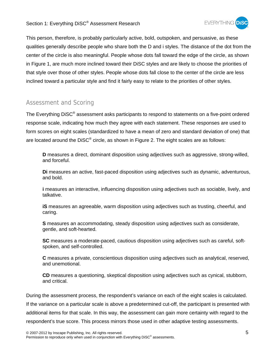#### Section 1: Everything DiSC® Assessment Research



This person, therefore, is probably particularly active, bold, outspoken, and persuasive, as these qualities generally describe people who share both the D and i styles. The distance of the dot from the center of the circle is also meaningful. People whose dots fall toward the edge of the circle, as shown in Figure 1, are much more inclined toward their DiSC styles and are likely to choose the priorities of that style over those of other styles. People whose dots fall close to the center of the circle are less inclined toward a particular style and find it fairly easy to relate to the priorities of other styles.

## Assessment and Scoring

The Everything DiSC® assessment asks participants to respond to statements on a five-point ordered response scale, indicating how much they agree with each statement. These responses are used to form scores on eight scales (standardized to have a mean of zero and standard deviation of one) that are located around the  $Disc^{\circ}$  circle, as shown in Figure 2. The eight scales are as follows:

**D** measures a direct, dominant disposition using adjectives such as aggressive, strong-willed, and forceful.

**Di** measures an active, fast-paced disposition using adjectives such as dynamic, adventurous, and bold.

**i** measures an interactive, influencing disposition using adjectives such as sociable, lively, and talkative.

**iS** measures an agreeable, warm disposition using adjectives such as trusting, cheerful, and caring.

**S** measures an accommodating, steady disposition using adjectives such as considerate, gentle, and soft-hearted.

**SC** measures a moderate-paced, cautious disposition using adjectives such as careful, softspoken, and self-controlled.

**C** measures a private, conscientious disposition using adjectives such as analytical, reserved, and unemotional.

**CD** measures a questioning, skeptical disposition using adjectives such as cynical, stubborn, and critical.

During the assessment process, the respondent's variance on each of the eight scales is calculated. If the variance on a particular scale is above a predetermined cut-off, the participant is presented with additional items for that scale. In this way, the assessment can gain more certainty with regard to the respondent's true score. This process mirrors those used in other adaptive testing assessments.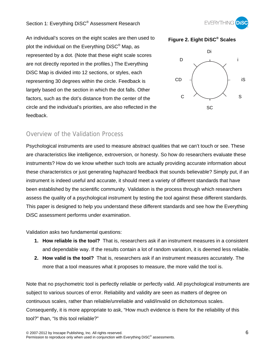## Section 1: Everything DiSC® Assessment Research



An individual's scores on the eight scales are then used to plot the individual on the Everything DiSC<sup>®</sup> Map, as represented by a dot. (Note that these eight scale scores are not directly reported in the profiles.) The Everything DiSC Map is divided into 12 sections, or styles, each representing 30 degrees within the circle. Feedback is largely based on the section in which the dot falls. Other factors, such as the dot's distance from the center of the circle and the individual's priorities, are also reflected in the feedback.





## Overview of the Validation Process

Psychological instruments are used to measure abstract qualities that we can't touch or see. These are characteristics like intelligence, extroversion, or honesty. So how do researchers evaluate these instruments? How do we know whether such tools are actually providing accurate information about these characteristics or just generating haphazard feedback that sounds believable? Simply put, if an instrument is indeed useful and accurate, it should meet a variety of different standards that have been established by the scientific community. Validation is the process through which researchers assess the quality of a psychological instrument by testing the tool against these different standards. This paper is designed to help you understand these different standards and see how the Everything DiSC assessment performs under examination.

Validation asks two fundamental questions:

- **1. How reliable is the tool?** That is, researchers ask if an instrument measures in a consistent and dependable way. If the results contain a lot of random variation, it is deemed less reliable.
- **2. How valid is the tool?** That is, researchers ask if an instrument measures accurately. The more that a tool measures what it proposes to measure, the more valid the tool is.

Note that no psychometric tool is perfectly reliable or perfectly valid. All psychological instruments are subject to various sources of error. Reliability and validity are seen as matters of degree on continuous scales, rather than reliable/unreliable and valid/invalid on dichotomous scales. Consequently, it is more appropriate to ask, "How much evidence is there for the reliability of this tool?" than, "Is this tool reliable?"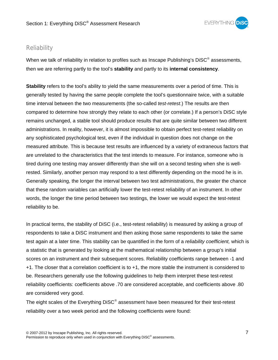

## Reliability

When we talk of reliability in relation to profiles such as Inscape Publishing's  $Disc^{\circ}$  assessments, then we are referring partly to the tool's **stability** and partly to its **internal consistency**.

**Stability** refers to the tool's ability to yield the same measurements over a period of time. This is generally tested by having the same people complete the tool's questionnaire twice, with a suitable time interval between the two measurements (the so-called *test-retest*.) The results are then compared to determine how strongly they relate to each other (or correlate.) If a person's DiSC style remains unchanged, a stable tool should produce results that are quite similar between two different administrations. In reality, however, it is almost impossible to obtain perfect test-retest reliability on any sophisticated psychological test, even if the individual in question does not change on the measured attribute. This is because test results are influenced by a variety of extraneous factors that are unrelated to the characteristics that the test intends to measure. For instance, someone who is tired during one testing may answer differently than she will on a second testing when she is wellrested. Similarly, another person may respond to a test differently depending on the mood he is in. Generally speaking, the longer the interval between two test administrations, the greater the chance that these random variables can artificially lower the test-retest reliability of an instrument. In other words, the longer the time period between two testings, the lower we would expect the test-retest reliability to be.

In practical terms, the stability of DiSC (i.e., test-retest reliability) is measured by asking a group of respondents to take a DiSC instrument and then asking those same respondents to take the same test again at a later time. This stability can be quantified in the form of a *reliability coefficient,* which is a statistic that is generated by looking at the mathematical relationship between a group's initial scores on an instrument and their subsequent scores. Reliability coefficients range between -1 and +1. The closer that a correlation coefficient is to +1, the more stable the instrument is considered to be. Researchers generally use the following guidelines to help them interpret these test-retest reliability coefficients: coefficients above .70 are considered acceptable, and coefficients above .80 are considered very good.

The eight scales of the Everything DiSC® assessment have been measured for their test-retest reliability over a two week period and the following coefficients were found: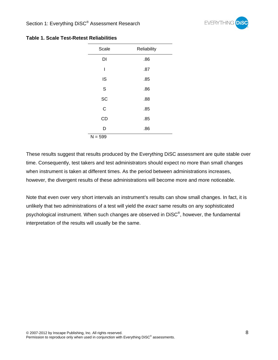

| Scale     | Reliability |
|-----------|-------------|
| DI        | .86         |
| I         | .87         |
| IS        | .85         |
| S         | .86         |
| SC        | .88         |
| C         | .85         |
| CD        | .85         |
| D         | .86         |
| $N = 599$ |             |

#### **Table 1. Scale Test-Retest Reliabilities**

These results suggest that results produced by the Everything DiSC assessment are quite stable over time. Consequently, test takers and test administrators should expect no more than small changes when instrument is taken at different times. As the period between administrations increases, however, the divergent results of these administrations will become more and more noticeable.

Note that even over very short intervals an instrument's results can show small changes. In fact, it is unlikely that two administrations of a test will yield the *exact* same results on any sophisticated psychological instrument. When such changes are observed in DiSC<sup>®</sup>, however, the fundamental interpretation of the results will usually be the same.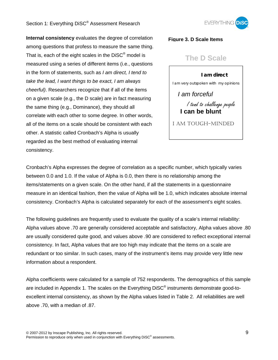### Section 1: Everything DiSC® Assessment Research



**Internal consistency** evaluates the degree of correlation among questions that profess to measure the same thing. That is, each of the eight scales in the  $\text{Disc}^{\otimes}$  model is measured using a series of different items (i.e., questions in the form of statements, such as *I am direct, I tend to take the lead, I want things to be exact, I am always cheerful)*. Researchers recognize that if all of the items on a given scale (e.g., the D scale) are in fact measuring the same thing (e.g., Dominance), they should all correlate with each other to some degree. In other words, all of the items on a scale should be consistent with each other. A statistic called Cronbach's Alpha is usually regarded as the best method of evaluating internal consistency.

#### **Figure 3. D Scale Items**

## **The D Scale**

**I am direct**  I tend to challenge people **I can be blunt**  *I am forceful*  I am very outspoken with my opinions

I AM TOUGH-MINDED

Cronbach's Alpha expresses the degree of correlation as a specific number, which typically varies between 0.0 and 1.0. If the value of Alpha is 0.0, then there is no relationship among the items/statements on a given scale. On the other hand, if all the statements in a questionnaire measure in an identical fashion, then the value of Alpha will be 1.0, which indicates absolute internal consistency. Cronbach's Alpha is calculated separately for each of the assessment's eight scales.

The following guidelines are frequently used to evaluate the quality of a scale's internal reliability: Alpha values above .70 are generally considered acceptable and satisfactory, Alpha values above .80 are usually considered quite good, and values above .90 are considered to reflect exceptional internal consistency. In fact, Alpha values that are too high may indicate that the items on a scale are redundant or too similar. In such cases, many of the instrument's items may provide very little new information about a respondent.

Alpha coefficients were calculated for a sample of 752 respondents. The demographics of this sample are included in Appendix 1. The scales on the Everything DiSC*®* instruments demonstrate good-toexcellent internal consistency, as shown by the Alpha values listed in Table 2. All reliabilities are well above .70, with a median of .87.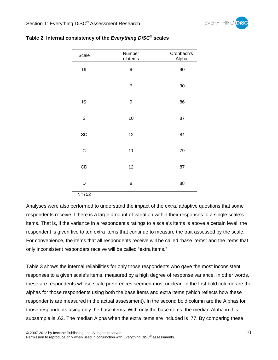

| Scale                  | Number<br>of items | Cronbach's<br>Alpha |
|------------------------|--------------------|---------------------|
| $\mathsf{D}\mathsf{I}$ | 9                  | .90                 |
| $\mathbf{I}$           | $\overline{7}$     | .90                 |
| IS                     | 9                  | .86                 |
| $\mathbf S$            | 10                 | .87                 |
| SC                     | 12                 | .84                 |
| $\mathsf C$            | 11                 | .79                 |
| CD                     | 12                 | .87                 |
| D                      | 8                  | .88                 |

#### **Table 2. Internal consistency of the** *Everything DiSC®* **scales**

N=752

Analyses were also performed to understand the impact of the extra, adaptive questions that some respondents receive if there is a large amount of variation within their responses to a single scale's items. That is, if the variance in a respondent's ratings to a scale's items is above a certain level, the respondent is given five to ten extra items that continue to measure the trait assessed by the scale. For convenience, the items that all respondents receive will be called "base items" and the items that only inconsistent responders receive will be called "extra items."

Table 3 shows the internal reliabilities for only those respondents who gave the most inconsistent responses to a given scale's items, measured by a high degree of response variance. In other words, these are respondents whose scale preferences seemed most unclear. In the first bold column are the alphas for those respondents using both the base items and extra items (which reflects how these respondents are measured in the actual assessment). In the second bold column are the Alphas for those respondents using only the base items. With only the base items, the median Alpha in this subsample is .62. The median Alpha when the extra items are included is .77. By comparing these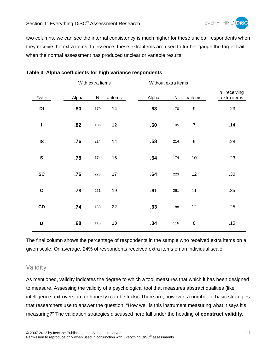

two columns, we can see the internal consistency is much higher for these unclear respondents when they receive the extra items. In essence, these extra items are used to further gauge the target trait when the normal assessment has produced unclear or variable results.

| With extra items |       |           | Without extra items |       |     |                  |                            |
|------------------|-------|-----------|---------------------|-------|-----|------------------|----------------------------|
| Scale            | Alpha | ${\sf N}$ | $#$ items           | Alpha | N   | # items          | % receiving<br>extra items |
| DI               | .80   | 170       | 14                  | .63   | 170 | $\boldsymbol{9}$ | .23                        |
| I                | .82   | 105       | 12                  | .60   | 105 | $\overline{7}$   | .14                        |
| IS               | .76   | 214       | 14                  | .58   | 214 | $\boldsymbol{9}$ | .28                        |
| ${\bf S}$        | .78   | 174       | 15                  | .64   | 174 | 10               | .23                        |
| <b>SC</b>        | .76   | 223       | 17                  | .64   | 223 | 12               | .30                        |
| $\mathbf C$      | .78   | 261       | 19                  | .61   | 261 | 11               | .35                        |
| CD               | .74   | 188       | 22                  | .63   | 188 | 12               | .25                        |
| D                | .68   | 116       | 13                  | .34   | 116 | 8                | .15                        |

#### **Table 3. Alpha coefficients for high variance respondents**

The final column shows the percentage of respondents in the sample who received extra items on a given scale. On average, 24% of respondents received extra items on an individual scale.

## Validity

As mentioned, validity indicates the degree to which a tool measures that which it has been designed to measure. Assessing the validity of a psychological tool that measures abstract qualities (like intelligence, extroversion, or honesty) can be tricky. There are, however, a number of basic strategies that researchers use to answer the question, "How well is this instrument measuring what it says it's measuring?" The validation strategies discussed here fall under the heading of **construct validity.**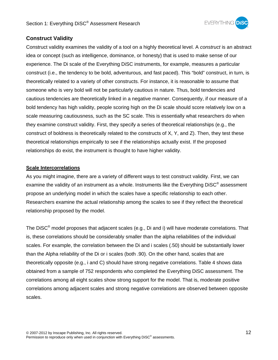

## **Construct Validity**

Construct validity examines the validity of a tool on a highly theoretical level. A *construct* is an abstract idea or concept (such as intelligence, dominance, or honesty) that is used to make sense of our experience. The Di scale of the Everything DiSC instruments, for example, measures a particular construct (i.e., the tendency to be bold, adventurous, and fast paced). This "bold" construct, in turn, is theoretically related to a variety of other constructs. For instance, it is reasonable to assume that someone who is very bold will not be particularly cautious in nature. Thus, bold tendencies and cautious tendencies are theoretically linked in a negative manner. Consequently, if our measure of a bold tendency has high validity, people scoring high on the Di scale should score relatively low on a scale measuring cautiousness, such as the SC scale. This is essentially what researchers do when they examine construct validity. First, they specify a series of theoretical relationships (e.g., the construct of boldness is theoretically related to the constructs of X, Y, and Z). Then, they test these theoretical relationships empirically to see if the relationships actually exist. If the proposed relationships do exist, the instrument is thought to have higher validity.

#### **Scale Intercorrelations**

As you might imagine, there are a variety of different ways to test construct validity. First, we can examine the validity of an instrument as a whole. Instruments like the Everything DiSC<sup>®</sup> assessment propose an underlying model in which the scales have a specific relationship to each other. Researchers examine the actual relationship among the scales to see if they reflect the theoretical relationship proposed by the model.

The DiSC® model proposes that adjacent scales (e.g., Di and i) will have moderate correlations. That is, these correlations should be considerably smaller than the alpha reliabilities of the individual scales. For example, the correlation between the Di and i scales (.50) should be substantially lower than the Alpha reliability of the Di or i scales (both .90). On the other hand, scales that are theoretically opposite (e.g., i and C) should have strong negative correlations. Table 4 shows data obtained from a sample of 752 respondents who completed the Everything DiSC assessment. The correlations among all eight scales show strong support for the model. That is, moderate positive correlations among adjacent scales and strong negative correlations are observed between opposite scales.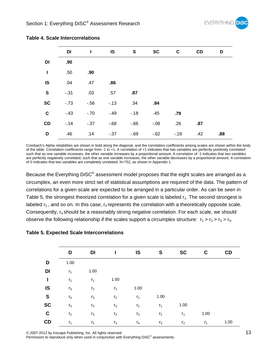

|             | DI     | ı       | IS      | S     | <b>SC</b> | C     | CD  | D   |
|-------------|--------|---------|---------|-------|-----------|-------|-----|-----|
| DI          | .90    |         |         |       |           |       |     |     |
| I           | .50    | .90     |         |       |           |       |     |     |
| IS          | .04    | .47     | .86     |       |           |       |     |     |
| ${\bf S}$   | $-.31$ | .03     | .57     | .87   |           |       |     |     |
| <b>SC</b>   | $-73$  | $-56$   | $-13$   | .34   | .84       |       |     |     |
| $\mathbf C$ | $-43$  | $-.70$  | $-.49$  | $-18$ | .45       | .79   |     |     |
| CD          | $-.14$ | $-0.37$ | $-68$   | $-66$ | $-0.08$   | .26   | .87 |     |
| D           | .46    | .14     | $-0.37$ | $-69$ | $-62$     | $-19$ | .42 | .88 |

#### **Table 4. Scale Intercorrelations**

Cronbach's Alpha reliabilities are shown in bold along the diagonal, and the correlation coefficients among scales are shown within the body of the table. Correlation coefficients range from -1 to +1. A correlation of +1 indicates that two variables are perfectly positively correlated such that as one variable increases, the other variable increases by a proportional amount. A correlation of -1 indicates that two variables are perfectly negatively correlated, such that as one variable increases, the other variable decreases by a proportional amount. A correlation of 0 indicates that two variables are completely unrelated; N=752, as shown in Appendix 1.

Because the Everything DiSC® assessment model proposes that the eight scales are arranged as a circumplex, an even more strict set of statistical assumptions are required of the data. The pattern of correlations for a given scale are expected to be arranged in a particular order. As can be seen in Table 5, the strongest theorized correlation for a given scale is labeled  $r_1$ . The second strongest is labeled  $r_2$ , and so on. In this case,  $r_4$  represents the correlation with a theoretically opposite scale. Consequently, r4 should be a reasonably strong negative correlation. For each scale, we should observe the following relationship if the scales support a circumplex structure:  $r_1 > r_2 > r_3 > r_4$ .

#### **Table 5. Expected Scale Intercorrelations**

|              | D              | DI             | I              | IS             | S              | <b>SC</b>      | C              | CD   |
|--------------|----------------|----------------|----------------|----------------|----------------|----------------|----------------|------|
| D            | 1.00           |                |                |                |                |                |                |      |
| DI           | $r_1$          | 1.00           |                |                |                |                |                |      |
| $\mathbf{I}$ | r <sub>2</sub> | r <sub>1</sub> | 1.00           |                |                |                |                |      |
| IS           | $r_3$          | r <sub>2</sub> | r <sub>1</sub> | 1.00           |                |                |                |      |
| $\mathbf{s}$ | $r_4$          | $r_3$          | r <sub>2</sub> | $r_1$          | 1.00           |                |                |      |
| <b>SC</b>    | $r_3$          | $r_4$          | $r_3$          | r <sub>2</sub> | r <sub>1</sub> | 1.00           |                |      |
| $\mathbf c$  | r <sub>2</sub> | $r_3$          | $r_4$          | $r_3$          | r <sub>2</sub> | $r_1$          | 1.00           |      |
| CD           | $r_1$          | r <sub>2</sub> | $r_3$          | $r_4$          | $r_3$          | r <sub>2</sub> | r <sub>1</sub> | 1.00 |

© 2007-2012 by Inscape Publishing, Inc. All rights reserved. 13

Permission to reproduce only when used in conjunction with Everything DiSC<sup>®</sup> assessments.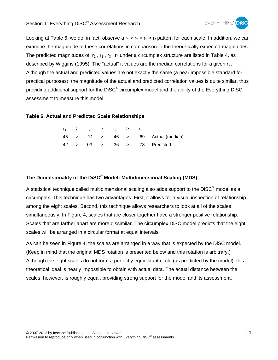

Looking at Table 6, we do, in fact, observe a  $r_1 > r_2 > r_3 > r_4$  pattern for each scale. In addition, we can examine the magnitude of these correlations in comparison to the theoretically expected magnitudes. The predicted magnitudes of  $r_1$ ,  $r_2$ ,  $r_3$ ,  $r_4$  under a circumplex structure are listed in Table 4, as described by Wiggins (1995). The "actual"  $r_x$  values are the median correlations for a given  $r_x$ . Although the actual and predicted values are not exactly the same (a near impossible standard for practical purposes), the magnitude of the actual and predicted correlation values is quite similar, thus providing additional support for the DiSC<sup>®</sup> circumplex model and the ability of the Everything DiSC assessment to measure this model.

#### **Table 6. Actual and Predicted Scale Relationships**

|  |  | $r_1$ > $r_2$ > $r_3$ > $r_4$ |  |                                                  |
|--|--|-------------------------------|--|--------------------------------------------------|
|  |  |                               |  | $.45$ > $-.11$ > $-.46$ > $-.69$ Actual (median) |
|  |  |                               |  | $.42$ > $.03$ > $-.36$ > $-.73$ Predicted        |

## **The Dimensionality of the DiSC® Model: Multidimensional Scaling (MDS)**

A statistical technique called multidimensional scaling also adds support to the  $\text{Disc}^{\circledast}$  model as a circumplex. This technique has two advantages. First, it allows for a visual inspection of relationship among the eight scales. Second, this technique allows researchers to look at all of the scales simultaneously. In Figure 4, scales that are closer together have a stronger positive relationship. Scales that are farther apart are more dissimilar. The circumplex DiSC model predicts that the eight scales will be arranged in a circular format at equal intervals.

As can be seen in Figure 4, the scales are arranged in a way that is expected by the DiSC model. (Keep in mind that the original MDS rotation is presented below and this rotation is arbitrary.) Although the eight scales do not form a perfectly equidistant circle (as predicted by the model), this theoretical ideal is nearly impossible to obtain with actual data. The actual distance between the scales, however, is roughly equal, providing strong support for the model and its assessment.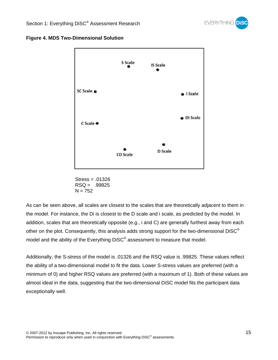





Stress = .01326  $RSQ = .99825$  $N = 752$ 

As can be seen above, all scales are closest to the scales that are theoretically adjacent to them in the model. For instance, the Di is closest to the D scale and i scale, as predicted by the model. In addition, scales that are theoretically opposite (e.g., i and C) are generally furthest away from each other on the plot. Consequently, this analysis adds strong support for the two-dimensional DiSC<sup>®</sup> model and the ability of the Everything DiSC® assessment to measure that model.

Additionally, the S-stress of the model is .01326 and the RSQ value is .99825. These values reflect the ability of a two-dimensional model to fit the data. Lower S-stress values are preferred (with a minimum of 0) and higher RSQ values are preferred (with a maximum of 1). Both of these values are almost ideal in the data, suggesting that the two-dimensional DiSC model fits the participant data exceptionally well.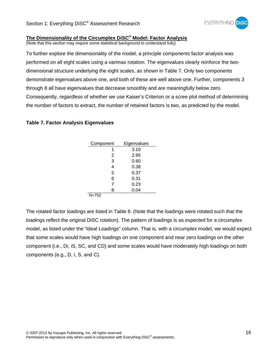

## **The Dimensionality of the Circumplex DiSC® Model: Factor Analysis**

(Note that this section may require some statistical background to understand fully)

To further explore the dimensionality of the model, a principle components factor analysis was performed on all eight scales using a varimax rotation. The eigenvalues clearly reinforce the twodimensional structure underlying the eight scales, as shown in Table 7. Only two components demonstrate eigenvalues above one, and both of these are well above one. Further, components 3 through 8 all have eigenvalues that decrease smoothly and are meaningfully below zero. Consequently, regardless of whether we use Kaiser's Criterion or a scree plot method of determining the number of factors to extract, the number of retained factors is two, as predicted by the model.

#### **Table 7. Factor Analysis Eigenvalues**

| Component | Eigenvalues |
|-----------|-------------|
| 1         | 3.10        |
| 2         | 2.95        |
| 3         | 0.60        |
| 4         | 0.38        |
| 5         | 0.37        |
| 6         | 0.31        |
| 7         | 0.23        |
| 8         | 0.04        |
| $N = 752$ |             |

The rotated factor loadings are listed in Table 8. (Note that the loadings were rotated such that the loadings reflect the original DiSC rotation). The pattern of loadings is as expected for a circumplex model, as listed under the "Ideal Loadings" column. That is, with a circumplex model, we would expect that some scales would have high loadings on one component and near zero loadings on the other component (i.e., Di, iS, SC, and CD) and some scales would have moderately high loadings on both components (e.g., D, i, S, and C).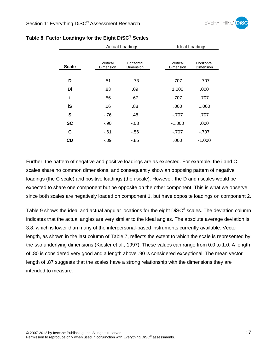|              |                       | <b>Actual Loadings</b>  |                       | <b>Ideal Loadings</b>   |
|--------------|-----------------------|-------------------------|-----------------------|-------------------------|
| <b>Scale</b> | Vertical<br>Dimension | Horizontal<br>Dimension | Vertical<br>Dimension | Horizontal<br>Dimension |
| D            | .51                   | $-73$                   | .707                  | $-707$                  |
| Di           | .83                   | .09                     | 1.000                 | .000                    |
| i            | .56                   | .67                     | .707                  | .707                    |
| iS           | .06                   | .88                     | .000                  | 1.000                   |
| S            | $-76$                 | .48                     | $-707$                | .707                    |
| <b>SC</b>    | $-.90$                | $-.03$                  | $-1.000$              | .000                    |
| C            | $-61$                 | $-56$                   | $-707$                | $-707$                  |
| CD           | $-.09$                | $-85$                   | .000                  | $-1.000$                |
|              |                       |                         |                       |                         |

### **Table 8. Factor Loadings for the Eight DiSC® Scales**

Further, the pattern of negative and positive loadings are as expected. For example, the i and C scales share no common dimensions, and consequently show an opposing pattern of negative loadings (the C scale) and positive loadings (the i scale). However, the D and i scales would be expected to share one component but be opposite on the other component. This is what we observe, since both scales are negatively loaded on component 1, but have opposite loadings on component 2.

Table 9 shows the ideal and actual angular locations for the eight DiSC<sup>®</sup> scales. The deviation column indicates that the actual angles are very similar to the ideal angles. The absolute average deviation is 3.8, which is lower than many of the interpersonal-based instruments currently available. Vector length, as shown in the last column of Table 7, reflects the extent to which the scale is represented by the two underlying dimensions (Kiesler et al., 1997). These values can range from 0.0 to 1.0. A length of .80 is considered very good and a length above .90 is considered exceptional. The mean vector length of .87 suggests that the scales have a strong relationship with the dimensions they are intended to measure.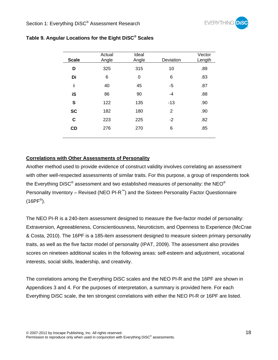

| <b>Scale</b> | Actual<br>Angle | Ideal<br>Angle | Deviation | Vector<br>Length |
|--------------|-----------------|----------------|-----------|------------------|
| D            | 325             | 315            | 10        | .89              |
| Di           | 6               | 0              | 6         | .83              |
| i            | 40              | 45             | -5        | .87              |
| iS           | 86              | 90             | $-4$      | .88              |
| S            | 122             | 135            | $-13$     | .90              |
| <b>SC</b>    | 182             | 180            | 2         | .90              |
| C            | 223             | 225            | $-2$      | .82              |
| CD           | 276             | 270            | 6         | .85              |
|              |                 |                |           |                  |

## **Table 9. Angular Locations for the Eight DiSC® Scales**

### **Correlations with Other Assessments of Personality**

Another method used to provide evidence of construct validity involves correlating an assessment with other well-respected assessments of similar traits. For this purpose, a group of respondents took the Everything DiSC<sup>®</sup> assessment and two established measures of personality: the NEO<sup>®</sup> Personality Inventory – Revised (NEO PI-R<sup>™</sup>) and the Sixteen Personality Factor Questionnaire  $(16PF^{\circledR})$ .

The NEO PI-R is a 240-item assessment designed to measure the five-factor model of personality: Extraversion, Agreeableness, Conscientiousness, Neuroticism, and Openness to Experience (McCrae & Costa, 2010). The 16PF is a 185-item assessment designed to measure sixteen primary personality traits, as well as the five factor model of personality (IPAT, 2009). The assessment also provides scores on nineteen additional scales in the following areas: self-esteem and adjustment, vocational interests, social skills, leadership, and creativity.

The correlations among the Everything DiSC scales and the NEO PI-R and the 16PF are shown in Appendices 3 and 4. For the purposes of interpretation, a summary is provided here. For each Everything DiSC scale, the ten strongest correlations with either the NEO PI-R or 16PF are listed.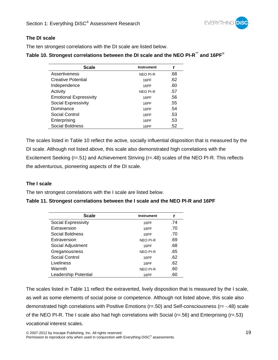

### **The DI scale**

The ten strongest correlations with the DI scale are listed below.

## **Table 10. Strongest correlations between the DI scale and the NEO PI-R™ and 16PF**®

| <b>Scale</b>                  | <b>Instrument</b> |     |
|-------------------------------|-------------------|-----|
| Assertiveness                 | <b>NEO PI-R</b>   | .68 |
| Creative Potential            | 16PF              | .62 |
| Independence                  | 16PF              | .60 |
| Activity                      | <b>NEO PI-R</b>   | .57 |
| <b>Emotional Expressivity</b> | 16PF              | .56 |
| Social Expressivity           | 16PF              | .55 |
| Dominance                     | 16PF              | .54 |
| Social Control                | 16PF              | .53 |
| Enterprising                  | 16PF              | .53 |
| Social Boldness               | 16PF              | .52 |

The scales listed in Table 10 reflect the active, socially influential disposition that is measured by the DI scale. Although not listed above, this scale also demonstrated high correlations with the Excitement Seeking (r=.51) and Achievement Striving (r=.48) scales of the NEO PI-R. This reflects the adventurous, pioneering aspects of the DI scale.

### **The I scale**

The ten strongest correlations with the I scale are listed below.

### **Table 11. Strongest correlations between the I scale and the NEO PI-R and 16PF**

| <b>Scale</b>         | <b>Instrument</b> |     |
|----------------------|-------------------|-----|
| Social Expressivity  | 16PF              | .74 |
| Extraversion         | 16PF              | .70 |
| Social Boldness      | 16PF              | .70 |
| Extraversion         | <b>NEO PI-R</b>   | .69 |
| Social Adjustment    | 16PF              | .68 |
| Gregariousness       | <b>NEO PI-R</b>   | .65 |
| Social Control       | 16PF              | .62 |
| Liveliness           | 16PF              | .62 |
| Warmth               | <b>NEO PI-R</b>   | .60 |
| Leadership Potential | 16PF              | .60 |

The scales listed in Table 11 reflect the extraverted, lively disposition that is measured by the I scale, as well as some elements of social poise or competence. Although not listed above, this scale also demonstrated high correlations with Positive Emotions (r=.50) and Self-consciousness (r= -.48) scale of the NEO PI-R. The I scale also had high correlations with Social (r=.56) and Enterprising (r=.53) vocational interest scales.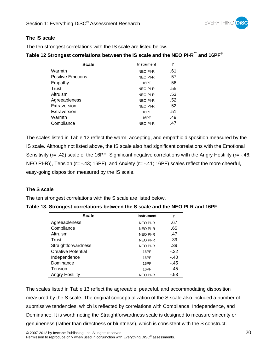

#### **The IS scale**

The ten strongest correlations with the IS scale are listed below.

|  | Table 12 Strongest correlations between the IS scale and the NEO PI-R™ and 16PF® |  |  |  |  |  |  |  |
|--|----------------------------------------------------------------------------------|--|--|--|--|--|--|--|
|--|----------------------------------------------------------------------------------|--|--|--|--|--|--|--|

| <b>Scale</b>             | <b>Instrument</b> |     |
|--------------------------|-------------------|-----|
| Warmth                   | <b>NEO PI-R</b>   | .61 |
| <b>Positive Emotions</b> | <b>NEO PI-R</b>   | .57 |
| Empathy                  | 16PF              | .56 |
| Trust                    | <b>NEO PI-R</b>   | .55 |
| Altruism                 | <b>NEO PI-R</b>   | .53 |
| Agreeableness            | <b>NEO PI-R</b>   | .52 |
| Extraversion             | <b>NEO PI-R</b>   | .52 |
| Extraversion             | 16PF              | .51 |
| Warmth                   | 16PF              | .49 |
| Compliance               | <b>NEO PI-R</b>   | .47 |

The scales listed in Table 12 reflect the warm, accepting, and empathic disposition measured by the IS scale. Although not listed above, the IS scale also had significant correlations with the Emotional Sensitivity (r= .42) scale of the 16PF. Significant negative correlations with the Angry Hostility (r= -.46; NEO PI-R)), Tension (r= -.43; 16PF), and Anxiety (r= -.41; 16PF) scales reflect the more cheerful, easy-going disposition measured by the IS scale.

### **The S scale**

The ten strongest correlations with the S scale are listed below.

| Scale                     | <b>Instrument</b> |        |
|---------------------------|-------------------|--------|
| Agreeableness             | <b>NEO PI-R</b>   | .67    |
| Compliance                | <b>NEO PI-R</b>   | .65    |
| Altruism                  | <b>NEO PI-R</b>   | .47    |
| Trust                     | <b>NEO PI-R</b>   | .39    |
| Straightforwardness       | <b>NEO PI-R</b>   | .39    |
| <b>Creative Potential</b> | 16PF              | $-32$  |
| Independence              | 16PF              | $-.40$ |
| Dominance                 | 16PF              | -.45   |
| Tension                   | 16PF              | - 45   |
| <b>Angry Hostility</b>    | <b>NEO PI-R</b>   | - 53   |

| Table 13. Strongest correlations between the S scale and the NEO PI-R and 16PF |
|--------------------------------------------------------------------------------|
|--------------------------------------------------------------------------------|

The scales listed in Table 13 reflect the agreeable, peaceful, and accommodating disposition measured by the S scale. The original conceptualization of the S scale also included a number of submissive tendencies, which is reflected by correlations with Compliance, Independence, and Dominance. It is worth noting the Straightforwardness scale is designed to measure sincerity or genuineness (rather than directness or bluntness), which is consistent with the S construct.

Permission to reproduce only when used in conjunction with Everything DiSC<sup>®</sup> assessments.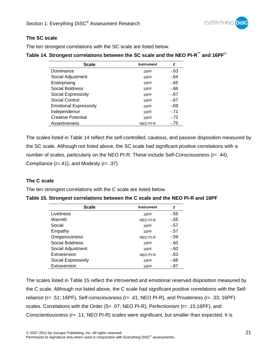

#### **The SC scale**

The ten strongest correlations with the SC scale are listed below.

#### **Table 14. Strongest correlations between the SC scale and the NEO PI-R™ and 16PF**®

| <b>Scale</b>                  | <b>Instrument</b> |        |
|-------------------------------|-------------------|--------|
| Dominance                     | 16PF              | -.63   |
| Social Adjustment             | 16PF              | $-.64$ |
| Enterprising                  | 16PF              | -.65   |
| Social Boldness               | 16PF              | -.66   |
| Social Expressivity           | 16PF              | $-67$  |
| Social Control                | 16PF              | $-67$  |
| <b>Emotional Expressivity</b> | 16PF              | -.69   |
| Independence                  | 16PF              | $-71$  |
| <b>Creative Potential</b>     | 16PF              | $-.72$ |
| Assertiveness                 | <b>NEO PI-R</b>   | $-75$  |

The scales listed in Table 14 reflect the self-controlled, cautious, and passive disposition measured by the SC scale. Although not listed above, the SC scale had significant positive correlations with a number of scales, particularly on the NEO PI-R. These include Self-Consciousness (r= .44), Compliance (r=.41), and Modesty (r= .37).

#### **The C scale**

The ten strongest correlations with the C scale are listed below.

| Table 15. Strongest correlations between the C scale and the NEO PI-R and 16PF |  |
|--------------------------------------------------------------------------------|--|
|--------------------------------------------------------------------------------|--|

| Scale               | <b>Instrument</b> |        |
|---------------------|-------------------|--------|
| Liveliness          | 16PF              | $-.55$ |
| Warmth              | <b>NEO PI-R</b>   | $-55$  |
| Social              | 16PF              | $-.57$ |
| Empathy             | 16PF              | $-.57$ |
| Gregariousness      | <b>NEO PI-R</b>   | $-59$  |
| Social Boldness     | 16PF              | $-60$  |
| Social Adjustment   | 16PF              | -.60   |
| Extraversion        | <b>NEO PI-R</b>   | $-63$  |
| Social Expressivity | 16PF              | $-66$  |
| Extraversion        | 16PF              | -.67   |

The scales listed in Table 15 reflect the introverted and emotional reserved disposition measured by the C scale. Although not listed above, the C scale had significant positive correlations with the Selfreliance (r= .51; 16PF), Self-consciousness (r= .41; NEO PI-R), and Privateness (r= .33; 16PF) scales. Correlations with the Order (5= .07; NEO PI-R), Perfectionism (r= .15;16PF), and Conscientiousness (r= .11; NEO PI-R) scales were significant, but smaller than expected. It is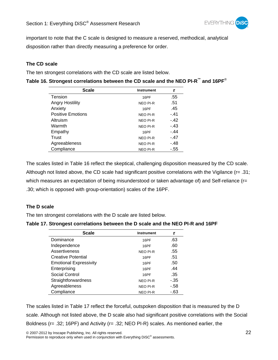

important to note that the C scale is designed to measure a reserved, methodical, analytical disposition rather than directly measuring a preference for order.

### **The CD scale**

The ten strongest correlations with the CD scale are listed below.

| <b>Scale</b>             | <b>Instrument</b> |        |
|--------------------------|-------------------|--------|
| Tension                  | 16PF              | .55    |
| <b>Angry Hostility</b>   | <b>NEO PI-R</b>   | .51    |
| Anxiety                  | 16PF              | .45    |
| <b>Positive Emotions</b> | <b>NEO PI-R</b>   | $-41$  |
| Altruism                 | <b>NEO PI-R</b>   | $-.42$ |
| Warmth                   | <b>NEO PI-R</b>   | $-.43$ |
| Empathy                  | 16PF              | $-.44$ |
| Trust                    | <b>NEO PI-R</b>   | $-.47$ |
| Agreeableness            | <b>NEO PI-R</b>   | -.48   |
| Compliance               | <b>NEO PI-R</b>   | -.55   |

| Table 16. Strongest correlations between the CD scale and the NEO PI-R™ and 16PF® |  |
|-----------------------------------------------------------------------------------|--|
|-----------------------------------------------------------------------------------|--|

The scales listed in Table 16 reflect the skeptical, challenging disposition measured by the CD scale. Although not listed above, the CD scale had significant positive correlations with the Vigilance (r= .31; which measures an expectation of being misunderstood or taken advantage of) and Self-reliance (r= .30; which is opposed with group-orientation) scales of the 16PF.

### **The D scale**

The ten strongest correlations with the D scale are listed below.

| Table 17. Strongest correlations between the D scale and the NEO PI-R and 16PF |  |  |
|--------------------------------------------------------------------------------|--|--|
|--------------------------------------------------------------------------------|--|--|

| <b>Scale</b>                  | <b>Instrument</b> |       |
|-------------------------------|-------------------|-------|
| Dominance                     | 16PF              | .63   |
| Independence                  | 16PF              | .60   |
| Assertiveness                 | <b>NEO PI-R</b>   | .55   |
| <b>Creative Potential</b>     | 16PF              | .51   |
| <b>Emotional Expressivity</b> | 16PF              | .50   |
| Enterprising                  | 16PF              | .44   |
| Social Control                | 16PF              | .35   |
| Straightforwardness           | <b>NEO PI-R</b>   | $-35$ |
| Agreeableness                 | <b>NEO PI-R</b>   | $-58$ |
| Compliance                    | NEO PI-R          | $-63$ |

The scales listed in Table 17 reflect the forceful, outspoken disposition that is measured by the D scale. Although not listed above, the D scale also had significant positive correlations with the Social Boldness (r= .32; 16PF) and Activity (r= .32; NEO PI-R) scales. As mentioned earlier, the

© 2007-2012 by Inscape Publishing, Inc. All rights reserved. 22

Permission to reproduce only when used in conjunction with Everything DiSC<sup>®</sup> assessments.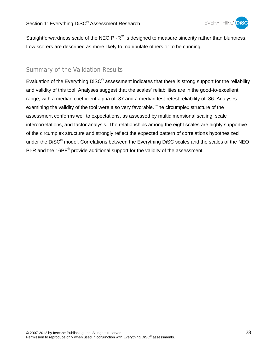

Straightforwardness scale of the NEO PI-R<sup>™</sup> is designed to measure sincerity rather than bluntness. Low scorers are described as more likely to manipulate others or to be cunning.

## Summary of the Validation Results

Evaluation of the Everything DiSC® assessment indicates that there is strong support for the reliability and validity of this tool. Analyses suggest that the scales' reliabilities are in the good-to-excellent range, with a median coefficient alpha of .87 and a median test-retest reliability of .86. Analyses examining the validity of the tool were also very favorable. The circumplex structure of the assessment conforms well to expectations, as assessed by multidimensional scaling, scale intercorrelations, and factor analysis. The relationships among the eight scales are highly supportive of the circumplex structure and strongly reflect the expected pattern of correlations hypothesized under the DiSC<sup>®</sup> model. Correlations between the Everything DiSC scales and the scales of the NEO PI-R and the 16PF<sup>®</sup> provide additional support for the validity of the assessment.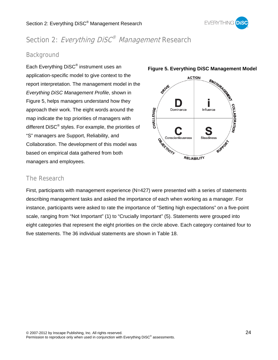

## Section 2: Everything DiSC<sup>®</sup> Management Research

## Background

Each Everything DiSC® instrument uses an application-specific model to give context to the report interpretation. The management model in the *Everything DiSC Management Profile*, shown in Figure 5, helps managers understand how they approach their work. The eight words around the map indicate the top priorities of managers with different DiSC® styles. For example, the priorities of "S" managers are Support, Reliability, and Collaboration. The development of this model was based on empirical data gathered from both managers and employees.



#### **Figure 5. Everything DiSC Management Model**

## The Research

First, participants with management experience  $(N=427)$  were presented with a series of statements describing management tasks and asked the importance of each when working as a manager. For instance, participants were asked to rate the importance of "Setting high expectations" on a five-point scale, ranging from "Not Important" (1) to "Crucially Important" (5). Statements were grouped into eight categories that represent the eight priorities on the circle above. Each category contained four to five statements. The 36 individual statements are shown in Table 18.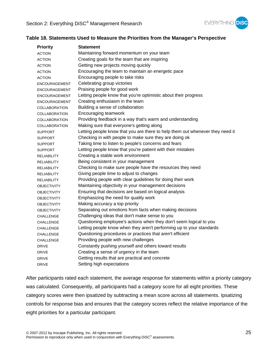

#### **Table 18. Statements Used to Measure the Priorities from the Manager's Perspective**

| <b>Priority</b>      | <b>Statement</b>                                                              |
|----------------------|-------------------------------------------------------------------------------|
| <b>ACTION</b>        | Maintaining forward momentum on your team                                     |
| <b>ACTION</b>        | Creating goals for the team that are inspiring                                |
| <b>ACTION</b>        | Getting new projects moving quickly                                           |
| <b>ACTION</b>        | Encouraging the team to maintain an energetic pace                            |
| <b>ACTION</b>        | Encouraging people to take risks                                              |
| <b>ENCOURAGEMENT</b> | Celebrating group victories                                                   |
| ENCOURAGEMENT        | Praising people for good work                                                 |
| ENCOURAGEMENT        | Letting people know that you're optimistic about their progress               |
| <b>ENCOURAGEMENT</b> | Creating enthusiasm in the team                                               |
| <b>COLLABORATION</b> | Building a sense of collaboration                                             |
| <b>COLLABORATION</b> | Encouraging teamwork                                                          |
| <b>COLLABORATION</b> | Providing feedback in a way that's warm and understanding                     |
| <b>COLLABORATION</b> | Making sure that everyone's getting along                                     |
| <b>SUPPORT</b>       | Letting people know that you are there to help them out whenever they need it |
| <b>SUPPORT</b>       | Checking in with people to make sure they are doing ok                        |
| <b>SUPPORT</b>       | Taking time to listen to people's concerns and fears                          |
| <b>SUPPORT</b>       | Letting people know that you're patient with their mistakes                   |
| <b>RELIABILITY</b>   | Creating a stable work environment                                            |
| <b>RELIABILITY</b>   | Being consistent in your management                                           |
| <b>RELIABILITY</b>   | Checking to make sure people have the resources they need                     |
| <b>RELIABILITY</b>   | Giving people time to adjust to changes                                       |
| <b>RELIABILITY</b>   | Providing people with clear guidelines for doing their work                   |
| <b>OBJECTIVITY</b>   | Maintaining objectivity in your management decisions                          |
| <b>OBJECTIVITY</b>   | Ensuring that decisions are based on logical analysis                         |
| <b>OBJECTIVITY</b>   | Emphasizing the need for quality work                                         |
| <b>OBJECTIVITY</b>   | Making accuracy a top priority                                                |
| <b>OBJECTIVITY</b>   | Separating out emotions from facts when making decisions                      |
| CHALLENGE            | Challenging ideas that don't make sense to you                                |
| CHALLENGE            | Questioning employee's actions when they don't seem logical to you            |
| CHALLENGE            | Letting people know when they aren't performing up to your standards          |
| CHALLENGE            | Questioning procedures or practices that aren't efficient                     |
| CHALLENGE            | Providing people with new challenges                                          |
| <b>DRIVE</b>         | Constantly pushing yourself and others toward results                         |
| <b>DRIVE</b>         | Creating a sense of urgency in the team                                       |
| <b>DRIVE</b>         | Getting results that are practical and concrete                               |
| <b>DRIVE</b>         | Setting high expectations                                                     |

After participants rated each statement, the average response for statements within a priority category was calculated. Consequently, all participants had a category score for all eight priorities. These category scores were then ipsatized by subtracting a mean score across all statements. Ipsatizing controls for response bias and ensures that the category scores reflect the relative importance of the eight priorities for a particular participant.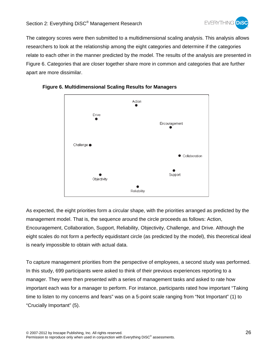

The category scores were then submitted to a multidimensional scaling analysis. This analysis allows researchers to look at the relationship among the eight categories and determine if the categories relate to each other in the manner predicted by the model. The results of the analysis are presented in Figure 6. Categories that are closer together share more in common and categories that are further apart are more dissimilar.



#### **Figure 6. Multidimensional Scaling Results for Managers**

As expected, the eight priorities form a circular shape, with the priorities arranged as predicted by the management model. That is, the sequence around the circle proceeds as follows: Action, Encouragement, Collaboration, Support, Reliability, Objectivity, Challenge, and Drive. Although the eight scales do not form a perfectly equidistant circle (as predicted by the model), this theoretical ideal is nearly impossible to obtain with actual data.

To capture management priorities from the perspective of employees, a second study was performed. In this study, 699 participants were asked to think of their previous experiences reporting to a manager. They were then presented with a series of management tasks and asked to rate how important each was for a manager to perform. For instance, participants rated how important "Taking time to listen to my concerns and fears" was on a 5-point scale ranging from "Not Important" (1) to "Crucially Important" (5).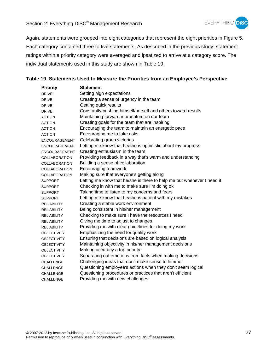

Again, statements were grouped into eight categories that represent the eight priorities in Figure 5. Each category contained three to five statements. As described in the previous study, statement ratings within a priority category were averaged and ipsatized to arrive at a category score. The individual statements used in this study are shown in Table 19.

#### **Table 19. Statements Used to Measure the Priorities from an Employee's Perspective**

| <b>Priority</b>      | <b>Statement</b>                                                       |
|----------------------|------------------------------------------------------------------------|
| <b>DRIVE</b>         | Setting high expectations                                              |
| <b>DRIVE</b>         | Creating a sense of urgency in the team                                |
| <b>DRIVE</b>         | Getting quick results                                                  |
| <b>DRIVE</b>         | Constantly pushing himself/herself and others toward results           |
| <b>ACTION</b>        | Maintaining forward momentum on our team                               |
| <b>ACTION</b>        | Creating goals for the team that are inspiring                         |
| <b>ACTION</b>        | Encouraging the team to maintain an energetic pace                     |
| <b>ACTION</b>        | Encouraging me to take risks                                           |
| <b>ENCOURAGEMENT</b> | Celebrating group victories                                            |
| <b>ENCOURAGEMENT</b> | Letting me know that he/she is optimistic about my progress            |
| <b>ENCOURAGEMENT</b> | Creating enthusiasm in the team                                        |
| <b>COLLABORATION</b> | Providing feedback in a way that's warm and understanding              |
| <b>COLLABORATION</b> | Building a sense of collaboration                                      |
| COLLABORATION        | Encouraging teamwork                                                   |
| <b>COLLABORATION</b> | Making sure that everyone's getting along                              |
| <b>SUPPORT</b>       | Letting me know that he/she is there to help me out whenever I need it |
| <b>SUPPORT</b>       | Checking in with me to make sure I'm doing ok                          |
| <b>SUPPORT</b>       | Taking time to listen to my concerns and fears                         |
| <b>SUPPORT</b>       | Letting me know that he/she is patient with my mistakes                |
| <b>RELIABILITY</b>   | Creating a stable work environment                                     |
| <b>RELIABILITY</b>   | Being consistent in his/her management                                 |
| <b>RELIABILITY</b>   | Checking to make sure I have the resources I need                      |
| <b>RELIABILITY</b>   | Giving me time to adjust to changes                                    |
| <b>RELIABILITY</b>   | Providing me with clear guidelines for doing my work                   |
| <b>OBJECTIVITY</b>   | Emphasizing the need for quality work                                  |
| <b>OBJECTIVITY</b>   | Ensuring that decisions are based on logical analysis                  |
| <b>OBJECTIVITY</b>   | Maintaining objectivity in his/her management decisions                |
| <b>OBJECTIVITY</b>   | Making accuracy a top priority                                         |
| <b>OBJECTIVITY</b>   | Separating out emotions from facts when making decisions               |
| <b>CHALLENGE</b>     | Challenging ideas that don't make sense to him/her                     |
| <b>CHALLENGE</b>     | Questioning employee's actions when they don't seem logical            |
| CHALLENGE            | Questioning procedures or practices that aren't efficient              |
| <b>CHALLENGE</b>     | Providing me with new challenges                                       |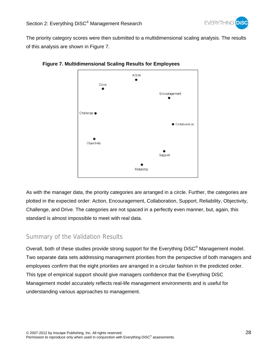The priority category scores were then submitted to a multidimensional scaling analysis. The results of this analysis are shown in Figure 7.



#### **Figure 7. Multidimensional Scaling Results for Employees**

As with the manager data, the priority categories are arranged in a circle. Further, the categories are plotted in the expected order: Action, Encouragement, Collaboration, Support, Reliability, Objectivity, Challenge, and Drive. The categories are not spaced in a perfectly even manner, but, again, this standard is almost impossible to meet with real data.

## Summary of the Validation Results

Overall, both of these studies provide strong support for the Everything DiSC® Management model. Two separate data sets addressing management priorities from the perspective of both managers and employees confirm that the eight priorities are arranged in a circular fashion in the predicted order. This type of empirical support should give managers confidence that the Everything DiSC Management model accurately reflects real-life management environments and is useful for understanding various approaches to management.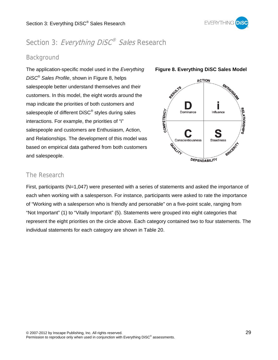

## Section 3: Everything DiSC<sup>®</sup> Sales Research

## Background

The application-specific model used in the *Everything DiSC*® *Sales Profile*, shown in Figure 8, helps salespeople better understand themselves and their customers. In this model, the eight words around the map indicate the priorities of both customers and salespeople of different DiSC<sup>®</sup> styles during sales interactions. For example, the priorities of "i" salespeople and customers are Enthusiasm, Action, and Relationships. The development of this model was based on empirical data gathered from both customers and salespeople.



#### **Figure 8. Everything DiSC Sales Model**

## The Research

First, participants (N=1,047) were presented with a series of statements and asked the importance of each when working with a salesperson. For instance, participants were asked to rate the importance of "Working with a salesperson who is friendly and personable" on a five-point scale, ranging from "Not Important" (1) to "Vitally Important" (5). Statements were grouped into eight categories that represent the eight priorities on the circle above. Each category contained two to four statements. The individual statements for each category are shown in Table 20.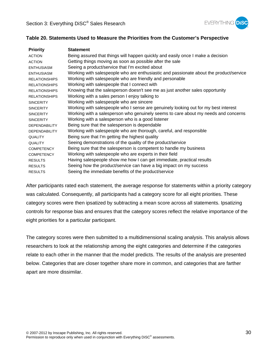

#### **Table 20. Statements Used to Measure the Priorities from the Customer's Perspective**

| <b>Priority</b>      | <b>Statement</b>                                                                       |
|----------------------|----------------------------------------------------------------------------------------|
| <b>ACTION</b>        | Being assured that things will happen quickly and easily once I make a decision        |
| <b>ACTION</b>        | Getting things moving as soon as possible after the sale                               |
| <b>ENTHUSIASM</b>    | Seeing a product/service that I'm excited about                                        |
| <b>ENTHUSIASM</b>    | Working with salespeople who are enthusiastic and passionate about the product/service |
| <b>RELATIONSHIPS</b> | Working with salespeople who are friendly and personable                               |
| <b>RELATIONSHIPS</b> | Working with salespeople that I connect with                                           |
| <b>RELATIONSHIPS</b> | Knowing that the salesperson doesn't see me as just another sales opportunity          |
| <b>RELATIONSHIPS</b> | Working with a sales person I enjoy talking to                                         |
| <b>SINCERITY</b>     | Working with salespeople who are sincere                                               |
| <b>SINCERITY</b>     | Working with salespeople who I sense are genuinely looking out for my best interest    |
| <b>SINCERITY</b>     | Working with a salesperson who genuinely seems to care about my needs and concerns     |
| <b>SINCERITY</b>     | Working with a salesperson who is a good listener                                      |
| <b>DEPENDABILITY</b> | Being sure that the salesperson is dependable                                          |
| <b>DEPENDABILITY</b> | Working with salespeople who are thorough, careful, and responsible                    |
| <b>QUALITY</b>       | Being sure that I'm getting the highest quality                                        |
| <b>QUALITY</b>       | Seeing demonstrations of the quality of the product/service                            |
| <b>COMPETENCY</b>    | Being sure that the salesperson is competent to handle my business                     |
| <b>COMPETENCY</b>    | Working with salespeople who are experts in their field                                |
| <b>RESULTS</b>       | Having salespeople show me how I can get immediate, practical results                  |
| <b>RESULTS</b>       | Seeing how the product/service can have a big impact on my success                     |
| <b>RESULTS</b>       | Seeing the immediate benefits of the product/service                                   |

After participants rated each statement, the average response for statements within a priority category was calculated. Consequently, all participants had a category score for all eight priorities. These category scores were then ipsatized by subtracting a mean score across all statements. Ipsatizing controls for response bias and ensures that the category scores reflect the relative importance of the eight priorities for a particular participant.

The category scores were then submitted to a multidimensional scaling analysis. This analysis allows researchers to look at the relationship among the eight categories and determine if the categories relate to each other in the manner that the model predicts. The results of the analysis are presented below. Categories that are closer together share more in common, and categories that are farther apart are more dissimilar.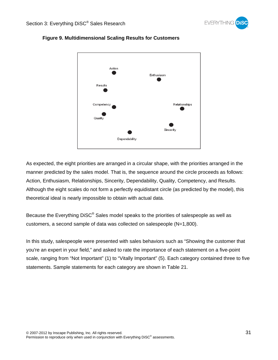



#### **Figure 9. Multidimensional Scaling Results for Customers**

As expected, the eight priorities are arranged in a circular shape, with the priorities arranged in the manner predicted by the sales model. That is, the sequence around the circle proceeds as follows: Action, Enthusiasm, Relationships, Sincerity, Dependability, Quality, Competency, and Results. Although the eight scales do not form a perfectly equidistant circle (as predicted by the model), this theoretical ideal is nearly impossible to obtain with actual data.

Because the Everything DiSC® Sales model speaks to the priorities of salespeople as well as customers, a second sample of data was collected on salespeople (N=1,800).

In this study, salespeople were presented with sales behaviors such as "Showing the customer that you're an expert in your field," and asked to rate the importance of each statement on a five-point scale, ranging from "Not Important" (1) to "Vitally Important" (5). Each category contained three to five statements. Sample statements for each category are shown in Table 21.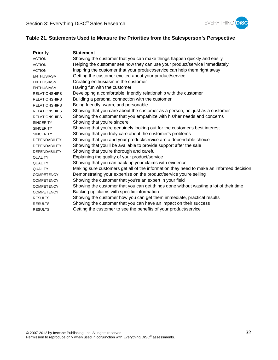

## **Table 21. Statements Used to Measure the Priorities from the Salesperson's Perspective**

| <b>Priority</b>      | <b>Statement</b>                                                                        |
|----------------------|-----------------------------------------------------------------------------------------|
| <b>ACTION</b>        | Showing the customer that you can make things happen quickly and easily                 |
| <b>ACTION</b>        | Helping the customer see how they can use your product/service immediately              |
| <b>ACTION</b>        | Inspiring the customer that your product/service can help them right away               |
| <b>ENTHUSIASM</b>    | Getting the customer excited about your product/service                                 |
| <b>ENTHUSIASM</b>    | Creating enthusiasm in the customer                                                     |
| <b>ENTHUSIASM</b>    | Having fun with the customer                                                            |
| <b>RELATIONSHIPS</b> | Developing a comfortable, friendly relationship with the customer                       |
| <b>RELATIONSHIPS</b> | Building a personal connection with the customer                                        |
| <b>RELATIONSHIPS</b> | Being friendly, warm, and personable                                                    |
| <b>RELATIONSHIPS</b> | Showing that you care about the customer as a person, not just as a customer            |
| <b>RELATIONSHIPS</b> | Showing the customer that you empathize with his/her needs and concerns                 |
| <b>SINCERITY</b>     | Showing that you're sincere                                                             |
| <b>SINCERITY</b>     | Showing that you're genuinely looking out for the customer's best interest              |
| <b>SINCERITY</b>     | Showing that you truly care about the customer's problems                               |
| <b>DEPENDABILITY</b> | Showing that you and your product/service are a dependable choice                       |
| <b>DEPENDABILITY</b> | Showing that you'll be available to provide support after the sale                      |
| <b>DEPENDABILITY</b> | Showing that you're thorough and careful                                                |
| <b>QUALITY</b>       | Explaining the quality of your product/service                                          |
| <b>QUALITY</b>       | Showing that you can back up your claims with evidence                                  |
| <b>QUALITY</b>       | Making sure customers get all of the information they need to make an informed decision |
| <b>COMPETENCY</b>    | Demonstrating your expertise on the product/service you're selling                      |
| <b>COMPETENCY</b>    | Showing the customer that you're an expert in your field                                |
| <b>COMPETENCY</b>    | Showing the customer that you can get things done without wasting a lot of their time   |
| <b>COMPETENCY</b>    | Backing up claims with specific information                                             |
| <b>RESULTS</b>       | Showing the customer how you can get them immediate, practical results                  |
| <b>RESULTS</b>       | Showing the customer that you can have an impact on their success                       |
| <b>RESULTS</b>       | Getting the customer to see the benefits of your product/service                        |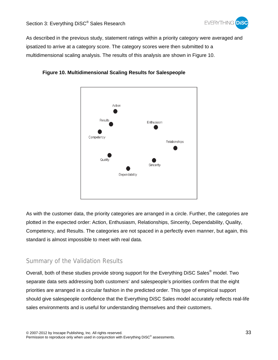

As described in the previous study, statement ratings within a priority category were averaged and ipsatized to arrive at a category score. The category scores were then submitted to a multidimensional scaling analysis. The results of this analysis are shown in Figure 10.



#### **Figure 10. Multidimensional Scaling Results for Salespeople**

As with the customer data, the priority categories are arranged in a circle. Further, the categories are plotted in the expected order: Action, Enthusiasm, Relationships, Sincerity, Dependability, Quality, Competency, and Results. The categories are not spaced in a perfectly even manner, but again, this standard is almost impossible to meet with real data.

## Summary of the Validation Results

Overall, both of these studies provide strong support for the Everything DiSC Sales<sup>®</sup> model. Two separate data sets addressing both customers' and salespeople's priorities confirm that the eight priorities are arranged in a circular fashion in the predicted order. This type of empirical support should give salespeople confidence that the Everything DiSC Sales model accurately reflects real-life sales environments and is useful for understanding themselves and their customers.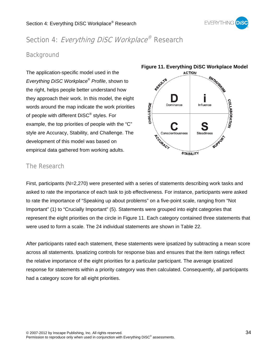

## Section 4: Everything DiSC Workplace® Research

## Background

The application-specific model used in the *Everything DiSC Workplace*® *Profile*, shown to the right, helps people better understand how they approach their work. In this model, the eight words around the map indicate the work priorities of people with different DiSC® styles. For example, the top priorities of people with the "C" style are Accuracy, Stability, and Challenge. The development of this model was based on empirical data gathered from working adults.



## The Research

First, participants (N=2,270) were presented with a series of statements describing work tasks and asked to rate the importance of each task to job effectiveness. For instance, participants were asked to rate the importance of "Speaking up about problems" on a five-point scale, ranging from "Not Important" (1) to "Crucially Important" (5). Statements were grouped into eight categories that represent the eight priorities on the circle in Figure 11. Each category contained three statements that were used to form a scale. The 24 individual statements are shown in Table 22.

After participants rated each statement, these statements were ipsatized by subtracting a mean score across all statements. Ipsatizing controls for response bias and ensures that the item ratings reflect the relative importance of the eight priorities for a particular participant. The average ipsatized response for statements within a priority category was then calculated. Consequently, all participants had a category score for all eight priorities.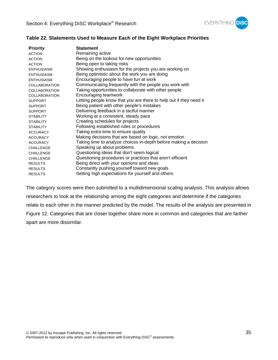

#### **Table 22. Statements Used to Measure Each of the Eight Workplace Priorities**

| <b>Priority</b>      | <b>Statement</b>                                                   |
|----------------------|--------------------------------------------------------------------|
| <b>ACTION</b>        | Remaining active                                                   |
| <b>ACTION</b>        | Being on the lookout for new opportunities                         |
| <b>ACTION</b>        | Being open to taking risks                                         |
| ENTHUSIASM           | Showing enthusiasm for the projects you are working on             |
| <b>ENTHUSIASM</b>    | Being optimistic about the work you are doing                      |
| <b>ENTHUSIASM</b>    | Encouraging people to have fun at work                             |
| <b>COLLABORATION</b> | Communicating frequently with the people you work with             |
| COLLABORATION        | Taking opportunities to collaborate with other people              |
| <b>COLLABORATION</b> | Encouraging teamwork                                               |
| <b>SUPPORT</b>       | Letting people know that you are there to help out if they need it |
| <b>SUPPORT</b>       | Being patient with other people's mistakes                         |
| <b>SUPPORT</b>       | Delivering feedback in a tactful manner                            |
| <b>STABILITY</b>     | Working at a consistent, steady pace                               |
| <b>STABILITY</b>     | Creating schedules for projects                                    |
| <b>STABILITY</b>     | Following established rules or procedures                          |
| <b>ACCURACY</b>      | Taking extra time to ensure quality                                |
| <b>ACCURACY</b>      | Making decisions that are based on logic, not emotion              |
| <b>ACCURACY</b>      | Taking time to analyze choices in-depth before making a decision   |
| <b>CHALLENGE</b>     | Speaking up about problems                                         |
| <b>CHALLENGE</b>     | Questioning ideas that don't seem logical                          |
| <b>CHALLENGE</b>     | Questioning procedures or practices that aren't efficient          |
| <b>RESULTS</b>       | Being direct with your opinions and ideas                          |
| <b>RESULTS</b>       | Constantly pushing yourself toward new goals                       |
| <b>RESULTS</b>       | Setting high expectations for yourself and others                  |

The category scores were then submitted to a multidimensional scaling analysis. This analysis allows researchers to look at the relationship among the eight categories and determine if the categories relate to each other in the manner predicted by the model. The results of the analysis are presented in Figure 12. Categories that are closer together share more in common and categories that are farther apart are more dissimilar.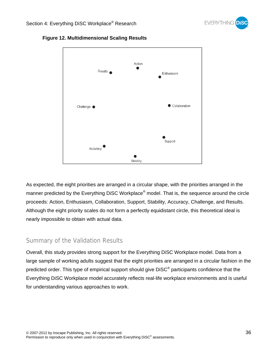



## **Figure 12. Multidimensional Scaling Results**

As expected, the eight priorities are arranged in a circular shape, with the priorities arranged in the manner predicted by the Everything DiSC Workplace*®* model. That is, the sequence around the circle proceeds: Action, Enthusiasm, Collaboration, Support, Stability, Accuracy, Challenge, and Results. Although the eight priority scales do not form a perfectly equidistant circle, this theoretical ideal is nearly impossible to obtain with actual data.

## Summary of the Validation Results

Overall, this study provides strong support for the Everything DiSC Workplace model. Data from a large sample of working adults suggest that the eight priorities are arranged in a circular fashion in the predicted order. This type of empirical support should give DiSC® participants confidence that the Everything DiSC Workplace model accurately reflects real-life workplace environments and is useful for understanding various approaches to work.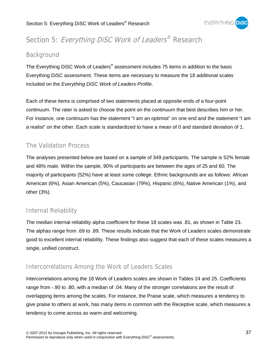

## Section 5: Everything DiSC Work of Leaders® Research

## Background

The Everything DiSC Work of Leaders*®* assessment includes 75 items in addition to the basic Everything DiSC assessment. These items are necessary to measure the 18 additional scales included on the *Everything DiSC Work of Leaders Profile*.

Each of these items is comprised of two statements placed at opposite ends of a four-point continuum. The rater is asked to choose the point on the continuum that best describes him or her. For instance, one continuum has the statement "I am an optimist" on one end and the statement "I am a realist" on the other. Each scale is standardized to have a mean of 0 and standard deviation of 1.

## The Validation Process

The analyses presented below are based on a sample of 349 participants. The sample is 52% female and 48% male. Within the sample, 90% of participants are between the ages of 25 and 60. The majority of participants (52%) have at least some college. Ethnic backgrounds are as follows: African American (6%), Asian American (5%), Caucasian (79%), Hispanic (6%), Native American (1%), and other (3%).

## Internal Reliability

The median internal reliability alpha coefficient for these 18 scales was .81, as shown in Table 23. The alphas range from .69 to .89. These results indicate that the Work of Leaders scales demonstrate good to excellent internal reliability. These findings also suggest that each of these scales measures a single, unified construct.

## Intercorrelations Among the Work of Leaders Scales

Intercorrelations among the 18 Work of Leaders scales are shown in Tables 24 and 25. Coefficients range from -.90 to .80, with a median of .04. Many of the stronger correlations are the result of overlapping items among the scales. For instance, the Praise scale, which measures a tendency to give praise to others at work, has many items in common with the Receptive scale, which measures a tendency to come across as warm and welcoming.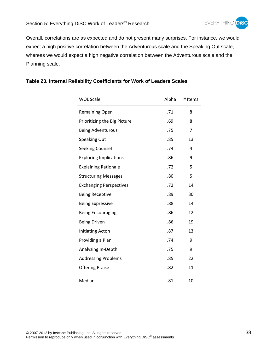

Overall, correlations are as expected and do not present many surprises. For instance, we would expect a high positive correlation between the Adventurous scale and the Speaking Out scale, whereas we would expect a high negative correlation between the Adventurous scale and the Planning scale.

| <b>WOL Scale</b>               | Alpha | # Items |
|--------------------------------|-------|---------|
| <b>Remaining Open</b>          | .71   | 8       |
| Prioritizing the Big Picture   | .69   | 8       |
| <b>Being Adventurous</b>       | .75   | 7       |
| Speaking Out                   | .85   | 13      |
| <b>Seeking Counsel</b>         | .74   | 4       |
| <b>Exploring Implications</b>  | .86   | 9       |
| <b>Explaining Rationale</b>    | .72   | 5       |
| <b>Structuring Messages</b>    | .80   | 5       |
| <b>Exchanging Perspectives</b> | .72   | 14      |
| <b>Being Receptive</b>         | .89   | 30      |
| <b>Being Expressive</b>        | .88   | 14      |
| <b>Being Encouraging</b>       | .86   | 12      |
| <b>Being Driven</b>            | .86   | 19      |
| <b>Initiating Acton</b>        | .87   | 13      |
| Providing a Plan               | .74   | 9       |
| Analyzing In-Depth             | .75   | 9       |
| <b>Addressing Problems</b>     | .85   | 22      |
| <b>Offering Praise</b>         | .82   | 11      |
| Median                         | .81   | 10      |

### **Table 23. Internal Reliability Coefficients for Work of Leaders Scales**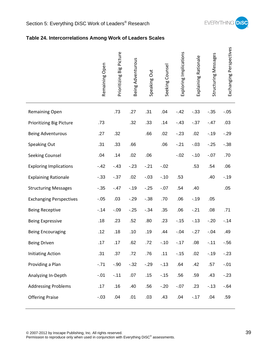

## **Table 24. Intercorrelations Among Work of Leaders Scales**

|                                | Remaining Open | Prioritizing Big Picture | Being Adventurous | Speaking Out | Seeking Counsel | Exploring Implications | Explaining Rationale | Structuring Messages | Exchanging Perspectives |
|--------------------------------|----------------|--------------------------|-------------------|--------------|-----------------|------------------------|----------------------|----------------------|-------------------------|
| Remaining Open                 |                | .73                      | .27               | .31          | .04             | $-42$                  | $-.33$               | $-.35$               | $-.05$                  |
| Prioritizing Big Picture       | .73            |                          | .32               | .33          | .14             | $-43$                  | $-0.37$              | $-.47$               | .03                     |
| <b>Being Adventurous</b>       | .27            | .32                      |                   | .66          | .02             | $-23$                  | .02                  | $-.19$               | $-.29$                  |
| Speaking Out                   | .31            | .33                      | .66               |              | .06             | $-.21$                 | $-.03$               | $-25$                | $-.38$                  |
| Seeking Counsel                | .04            | .14                      | .02               | .06          |                 | $-.02$                 | $-.10$               | $-.07$               | .70                     |
| <b>Exploring Implications</b>  | $-42$          | $-43$                    | $-23$             | $-.21$       | $-.02$          |                        | .53                  | .54                  | .06                     |
| <b>Explaining Rationale</b>    | $-.33$         | $-0.37$                  | .02               | $-.03$       | $-.10$          | .53                    |                      | .40                  | $-.19$                  |
| <b>Structuring Messages</b>    | $-0.35$        | $-.47$                   | $-.19$            | $-25$        | $-.07$          | .54                    | .40                  |                      | .05                     |
| <b>Exchanging Perspectives</b> | $-.05$         | .03                      | $-0.29$           | $-.38$       | .70             | .06                    | $-.19$               | .05                  |                         |
| <b>Being Receptive</b>         | $-14$          | $-.09$                   | $-.25$            | $-0.34$      | .35             | .06                    | $-.21$               | .08                  | .71                     |
| <b>Being Expressive</b>        | .18            | .23                      | .52               | .80          | .23             | $-15$                  | $-13$                | $-20$                | $-.14$                  |
| <b>Being Encouraging</b>       | .12            | .18                      | .10               | .19          | .44             | $-.04$                 | $-27$                | $-.04$               | .49                     |
| <b>Being Driven</b>            | .17            | .17                      | .62               | .72          | $-.10$          | $-.17$                 | .08                  | $-.11$               | $-0.56$                 |
| <b>Initiating Action</b>       | .31            | .37                      | .72               | .76          | .11             | $-.15$                 | .02                  | $-.19$               | $-23$                   |
| Providing a Plan               | $-.71$         | $-.90$                   | $-0.32$           | $-0.29$      | $-.13$          | .64                    | .42                  | .57                  | $-.01$                  |
| Analyzing In-Depth             | $-.01$         | $-.11$                   | .07               | .15          | $-.15$          | .56                    | .59                  | .43                  | $-23$                   |
| <b>Addressing Problems</b>     | .17            | .16                      | .40               | .56          | $-.20$          | $-.07$                 | .23                  | $-13$                | $-64$                   |
| <b>Offering Praise</b>         | $-.03$         | .04                      | .01               | .03          | .43             | .04                    | $-.17$               | .04                  | .59                     |
|                                |                |                          |                   |              |                 |                        |                      |                      |                         |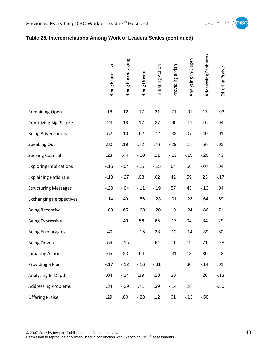

## **Table 25. Intercorrelations Among Work of Leaders Scales (continued)**

|                                 | Being Expressive | Encouraging<br>Being | Being Driven | Initiating Action | Plan<br>$\boldsymbol{\varpi}$<br>Providing | Analyzing In-Depth | Addressing Problems | Offering Praise |
|---------------------------------|------------------|----------------------|--------------|-------------------|--------------------------------------------|--------------------|---------------------|-----------------|
| <b>Remaining Open</b>           | .18              | .12                  | .17          | .31               | $-.71$                                     | $-.01$             | .17                 | $-.03$          |
| <b>Prioritizing Big Picture</b> | .23              | .18                  | .17          | .37               | $-.90$                                     | $-.11$             | .16                 | .04             |
| <b>Being Adventurous</b>        | .52              | .10                  | .62          | .72               | $-.32$                                     | .07                | .40                 | .01             |
| Speaking Out                    | .80              | .19                  | .72          | .76               | $-.29$                                     | .15                | .56                 | .03             |
| Seeking Counsel                 | .23              | .44                  | $-.10$       | .11               | $-13$                                      | $-15$              | $-.20$              | .43             |
| <b>Exploring Implications</b>   | $-.15$           | $-.04$               | $-17$        | $-15$             | .64                                        | .56                | $-.07$              | .04             |
| <b>Explaining Rationale</b>     | $-.13$           | $-.27$               | .08          | .02               | .42                                        | .59                | .23                 | $-17$           |
| <b>Structuring Messages</b>     | $-.20$           | $-.04$               | $-.11$       | $-.19$            | .57                                        | .43                | $-13$               | .04             |
| <b>Exchanging Perspectives</b>  | $-.14$           | .49                  | $-.56$       | $-23$             | $-.01$                                     | $-23$              | $-64$               | .59             |
| <b>Being Receptive</b>          | $-.09$           | .65                  | $-63$        | $-.20$            | .10                                        | $-24$              | $-0.86$             | .71             |
| <b>Being Expressive</b>         |                  | .40                  | .56          | .65               | $-.17$                                     | .04                | .34                 | .29             |
| <b>Being Encouraging</b>        | .40              |                      | $-15$        | .23               | $-12$                                      | $-14$              | $-.39$              | .80             |
| <b>Being Driven</b>             | .56              | $-.15$               |              | .64               | $-16$                                      | .19                | .71                 | $-.28$          |
| <b>Initiating Action</b>        | .65              | .23                  | .64          |                   | $-.31$                                     | .18                | .39                 | .12             |
| Providing a Plan                | $-.17$           | $-12$                | $-.16$       | $-.31$            |                                            | .30                | $-14$               | .01             |
| Analyzing In-Depth              | .04              | $-14$                | .19          | .18               | .30                                        |                    | .26                 | $-13$           |
| <b>Addressing Problems</b>      | .34              | $-.39$               | .71          | .39               | $-.14$                                     | .26                |                     | $-.50$          |
| <b>Offering Praise</b>          | .29              | .80                  | $-28$        | .12               | .01                                        | $-13$              | $-.50$              |                 |
|                                 |                  |                      |              |                   |                                            |                    |                     |                 |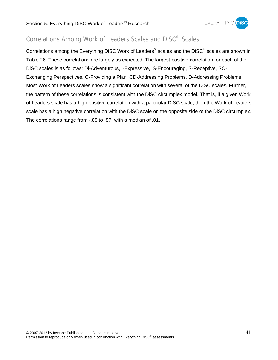

## Correlations Among Work of Leaders Scales and DiSC® Scales

Correlations among the Everything DiSC Work of Leaders® scales and the DiSC® scales are shown in Table 26. These correlations are largely as expected. The largest positive correlation for each of the DiSC scales is as follows: Di-Adventurous, i-Expressive, iS-Encouraging, S-Receptive, SC-Exchanging Perspectives, C-Providing a Plan, CD-Addressing Problems, D-Addressing Problems. Most Work of Leaders scales show a significant correlation with several of the DiSC scales. Further, the pattern of these correlations is consistent with the DiSC circumplex model. That is, if a given Work of Leaders scale has a high positive correlation with a particular DiSC scale, then the Work of Leaders scale has a high negative correlation with the DiSC scale on the opposite side of the DiSC circumplex. The correlations range from -.85 to .87, with a median of .01.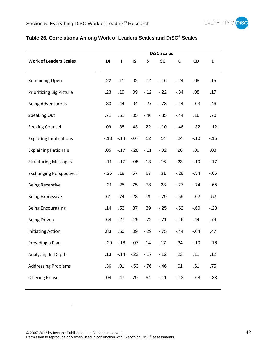

## **Table 26. Correlations Among Work of Leaders Scales and DiSC® Scales**

| <b>DiSC Scales</b> |              |         |           |           |         |         |         |
|--------------------|--------------|---------|-----------|-----------|---------|---------|---------|
| DI                 | $\mathbf{I}$ | IS      | ${\sf S}$ | <b>SC</b> | C       | CD      | D       |
| .22                | .11          | .02     | $-.14$    | $-16$     | $-24$   | .08     | .15     |
| .23                | .19          | .09     | $-12$     | $-22$     | $-0.34$ | .08     | .17     |
| .83                | .44          | .04     | $-27$     | $-73$     | $-44$   | $-.03$  | .46     |
| .71                | .51          | .05     | $-46$     | $-0.85$   | $-44$   | .16     | .70     |
| .09                | .38          | .43     | .22       | $-.10$    | $-46$   | $-0.32$ | $-12$   |
| $-13$              | $-.14$       | $-.07$  | .12       | .14       | .24     | $-.10$  | $-0.15$ |
| .05                | $-.17$       | $-28$   | $-.11$    | $-.02$    | .26     | .09     | .08     |
| $-.11$             | $-.17$       | $-.05$  | .13       | .16       | .23     | $-.10$  | $-.17$  |
| $-26$              | .18          | .57     | .67       | .31       | $-28$   | $-.54$  | $-65$   |
| $-.21$             | .25          | .75     | .78       | .23       | $-27$   | $-74$   | $-65$   |
| .61                | .74          | .28     | $-29$     | $-79$     | $-0.59$ | $-.02$  | .52     |
| .14                | .53          | .87     | .39       | $-.25$    | $-.52$  | $-0.60$ | $-23$   |
| .64                | .27          | $-29$   | $-72$     | $-71$     | $-.16$  | .44     | .74     |
| .83                | .50          | .09     | $-29$     | $-75$     | $-44$   | $-.04$  | .47     |
| $-.20$             | $-18$        | $-.07$  | .14       | .17       | .34     | $-.10$  | $-16$   |
| .13                | $-14$        | $-23$   | $-17$     | $-12$     | .23     | .11     | .12     |
| .36                | .01          | $-0.53$ | $-76$     | $-46$     | .01     | .61     | .75     |
| .04                | .47          | .79     | .54       | $-.11$    | $-43$   | $-68$   | $-0.33$ |
|                    |              |         |           |           |         |         |         |

.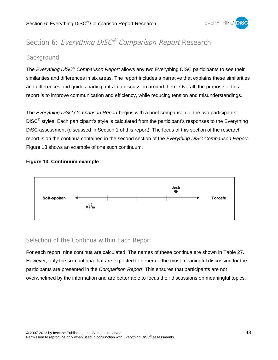

## Section 6: Everything DiSC<sup>®</sup> Comparison Report Research

## Background

The *Everything DiSC*® *Comparison Report* allows any two Everything DiSC participants to see their similarities and differences in six areas. The report includes a narrative that explains these similarities and differences and guides participants in a discussion around them. Overall, the purpose of this report is to improve communication and efficiency, while reducing tension and misunderstandings.

The *Everything DiSC Comparison Report* begins with a brief comparison of the two participants' DISC<sup>®</sup> styles. Each participant's style is calculated from the participant's responses to the Everything DiSC assessment (discussed in Section 1 of this report). The focus of this section of the research report is on the continua contained in the second section of the *Everything DiSC Comparison Report*. Figure 13 shows an example of one such continuum.

## **Figure 13. Continuum example**



## Selection of the Continua within Each Report

For each report, nine continua are calculated. The names of these continua are shown in Table 27. However, only the six continua that are expected to generate the most meaningful discussion for the participants are presented in the *Comparison Report*. This ensures that participants are not overwhelmed by the information and are better able to focus their discussions on meaningful topics.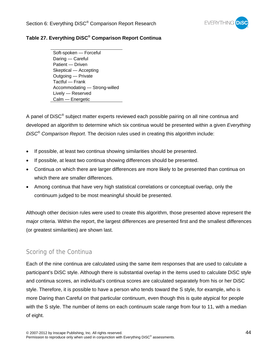

### **Table 27. Everything DiSC® Comparison Report Continua**

Soft-spoken — Forceful Daring — Careful Patient — Driven Skeptical — Accepting Outgoing — Private Tactful — Frank Accommodating — Strong-willed Lively — Reserved Calm — Energetic

A panel of  $Disc^{\circledast}$  subject matter experts reviewed each possible pairing on all nine continua and developed an algorithm to determine which six continua would be presented within a given *Everything DiSC*® *Comparison Report*. The decision rules used in creating this algorithm include:

- If possible, at least two continua showing similarities should be presented.
- If possible, at least two continua showing differences should be presented.
- Continua on which there are larger differences are more likely to be presented than continua on which there are smaller differences.
- Among continua that have very high statistical correlations or conceptual overlap, only the continuum judged to be most meaningful should be presented.

Although other decision rules were used to create this algorithm, those presented above represent the major criteria. Within the report, the largest differences are presented first and the smallest differences (or greatest similarities) are shown last.

## Scoring of the Continua

Each of the nine continua are calculated using the same item responses that are used to calculate a participant's DiSC style. Although there is substantial overlap in the items used to calculate DiSC style and continua scores, an individual's continua scores are calculated separately from his or her DiSC style. Therefore, it is possible to have a person who tends toward the S style, for example, who is more Daring than Careful on that particular continuum, even though this is quite atypical for people with the S style. The number of items on each continuum scale range from four to 11, with a median of eight.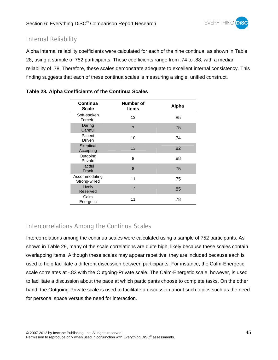

## Internal Reliability

Alpha internal reliability coefficients were calculated for each of the nine continua, as shown in Table 28, using a sample of 752 participants. These coefficients range from .74 to .88, with a median reliability of .78. Therefore, these scales demonstrate adequate to excellent internal consistency. This finding suggests that each of these continua scales is measuring a single, unified construct.

| Continua<br><b>Scale</b>       | <b>Number of</b><br><b>Items</b> | Alpha |
|--------------------------------|----------------------------------|-------|
| Soft-spoken<br>Forceful        | 13                               | .85   |
| Daring<br>Careful              | $\overline{7}$                   | .75   |
| Patient<br>Driven              | 10                               | .74   |
| Skeptical<br>Accepting         | 12                               | .82   |
| Outgoing<br>Private            | 8                                | .88   |
| <b>Tactful</b><br>Frank        | 8                                | .75   |
| Accommodating<br>Strong-willed | 11                               | .75   |
| Lively<br>Reserved             | 12                               | .85   |
| Calm<br>Energetic              | 11                               | .78   |

### **Table 28. Alpha Coefficients of the Continua Scales**

## Intercorrelations Among the Continua Scales

Intercorrelations among the continua scales were calculated using a sample of 752 participants. As shown in Table 29, many of the scale correlations are quite high, likely because these scales contain overlapping items. Although these scales may appear repetitive, they are included because each is used to help facilitate a different discussion between participants. For instance, the Calm-Energetic scale correlates at -.83 with the Outgoing-Private scale. The Calm-Energetic scale, however, is used to facilitate a discussion about the pace at which participants choose to complete tasks. On the other hand, the Outgoing-Private scale is used to facilitate a discussion about such topics such as the need for personal space versus the need for interaction.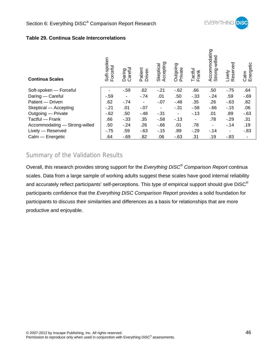

#### **Table 29. Continua Scale Intercorrelations**

| <b>Continua Scales</b>        | Soft-spoken<br>Forceful | Careful<br>Daring | Patient<br>Driven | Accepting<br>Skeptical | Outgoing<br>Private      | Tactful<br>Frank | Accommodating<br>Strong-willed | Reserved<br>Lively | Calm<br>Energetic |
|-------------------------------|-------------------------|-------------------|-------------------|------------------------|--------------------------|------------------|--------------------------------|--------------------|-------------------|
| Soft-spoken - Forceful        |                         | $-0.59$           | .62               | $-21$                  | $-62$                    | .66              | .50                            | $-75$              | .64               |
| Daring - Careful              | $-0.59$                 | ٠                 | $-.74$            | .01                    | .50                      | $-33$            | $-24$                          | .59                | $-69$             |
| Patient - Driven              | .62                     | $-74$             | -                 | $-07$                  | $-.48$                   | .35              | .26                            | $-63$              | .82               |
| Skeptical - Accepting         | $-.21$                  | .01               | $-.07$            | $\blacksquare$         | $-.31$                   | $-58$            | $-66$                          | $-15$              | .06               |
| Outgoing - Private            | $-62$                   | .50               | $-48$             | $-31$                  | $\overline{\phantom{m}}$ | $-13$            | .01                            | .89                | $-63$             |
| Tactful — Frank               | .66                     | $-0.33$           | .35               | $-58$                  | $-13$                    | ٠                | .78                            | $-29$              | .31               |
| Accommodating - Strong-willed | .50                     | $-24$             | .26               | $-66$                  | .01                      | .78              | $\overline{\phantom{a}}$       | $-14$              | .19               |
| Lively - Reserved             | $-75$                   | .59               | $-63$             | $-15$                  | .89                      | $-29$            | $-14$                          | ۰                  | $-0.83$           |
| Calm - Energetic              | .64                     | $-69$             | .82               | .06                    | $-63$                    | .31              | .19                            | $-0.83$            |                   |

## Summary of the Validation Results

Overall, this research provides strong support for the *Everything DiSC® Comparison Report* continua scales. Data from a large sample of working adults suggest these scales have good internal reliability and accurately reflect participants' self-perceptions. This type of empirical support should give DiSC<sup>®</sup> participants confidence that the *Everything DiSC Comparison Report* provides a solid foundation for participants to discuss their similarities and differences as a basis for relationships that are more productive and enjoyable.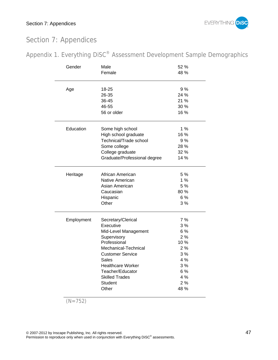

## Section 7: Appendices

| Appendix 1. Everything DiSC <sup>®</sup> Assessment Development Sample Demographics |  |  |  |  |  |
|-------------------------------------------------------------------------------------|--|--|--|--|--|
|-------------------------------------------------------------------------------------|--|--|--|--|--|

| Gender     | Male                         |      |  |  |  |
|------------|------------------------------|------|--|--|--|
|            | Female                       | 48 % |  |  |  |
| Age        | 18-25                        | 9%   |  |  |  |
|            | 26-35                        | 24%  |  |  |  |
|            | 36-45                        | 21 % |  |  |  |
|            | 46-55                        | 30 % |  |  |  |
|            | 56 or older                  | 16 % |  |  |  |
| Education  | Some high school             | 1%   |  |  |  |
|            | High school graduate         | 16 % |  |  |  |
|            | Technical/Trade school       | 9%   |  |  |  |
|            | Some college                 | 28 % |  |  |  |
|            | College graduate             | 32%  |  |  |  |
|            | Graduate/Professional degree | 14 % |  |  |  |
| Heritage   | African American             | 5%   |  |  |  |
|            | Native American              | 1%   |  |  |  |
|            | Asian American               | 5%   |  |  |  |
|            | Caucasian                    | 80%  |  |  |  |
|            | Hispanic                     | 6%   |  |  |  |
|            | Other                        | 3%   |  |  |  |
| Employment | Secretary/Clerical           | 7%   |  |  |  |
|            | Executive                    | 3%   |  |  |  |
|            | Mid-Level Management         | 6 %  |  |  |  |
|            | Supervisory                  | 2%   |  |  |  |
|            | Professional                 | 10%  |  |  |  |
|            | Mechanical-Technical         | 2%   |  |  |  |
|            | <b>Customer Service</b>      | 3%   |  |  |  |
|            | Sales                        | 4 %  |  |  |  |
|            | <b>Healthcare Worker</b>     | 3 %  |  |  |  |
|            | Teacher/Educator             | 6 %  |  |  |  |
|            | <b>Skilled Trades</b>        | 4 %  |  |  |  |
|            | <b>Student</b>               | 2%   |  |  |  |
|            | Other                        | 48 % |  |  |  |

$$
(N=752)
$$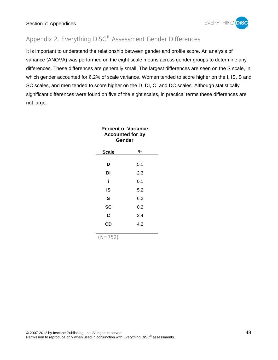

## Appendix 2. Everything DiSC® Assessment Gender Differences

It is important to understand the relationship between gender and profile score. An analysis of variance (ANOVA) was performed on the eight scale means across gender groups to determine any differences. These differences are generally small. The largest differences are seen on the S scale, in which gender accounted for 6.2% of scale variance. Women tended to score higher on the I, IS, S and SC scales, and men tended to score higher on the D, DI, C, and DC scales. Although statistically significant differences were found on five of the eight scales, in practical terms these differences are not large.

| <b>Percent of Variance</b><br><b>Accounted for by</b><br>Gender |     |  |  |  |  |
|-----------------------------------------------------------------|-----|--|--|--|--|
| Scale                                                           | %   |  |  |  |  |
| D                                                               | 5.1 |  |  |  |  |
| Di                                                              | 2.3 |  |  |  |  |
| i                                                               | 0.1 |  |  |  |  |
| iS                                                              | 5.2 |  |  |  |  |
| S                                                               | 6.2 |  |  |  |  |
| SC                                                              | 0.2 |  |  |  |  |
| C                                                               | 2.4 |  |  |  |  |
| CD                                                              | 4.2 |  |  |  |  |
| $\lambda = 1$                                                   |     |  |  |  |  |

 $(N=752)$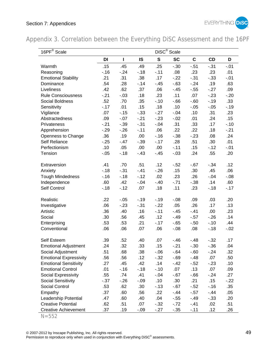

Appendix 3. Correlation between the Everything DiSC Assessment and the 16PF

| 16PF <sup>®</sup> Scale       | DiSC <sup>®</sup> Scale |         |           |             |           |             |         |        |
|-------------------------------|-------------------------|---------|-----------|-------------|-----------|-------------|---------|--------|
|                               | DI                      | I       | <b>IS</b> | $\mathbf S$ | <b>SC</b> | $\mathbf c$ | CD      | D      |
| Warmth                        | .15                     | .45     | .49       | .25         | $-.30$    | $-0.51$     | $-31$   | $-.01$ |
| Reasoning                     | $-.16$                  | $-24$   | $-18$     | $-.11$      | .08       | .23         | .23     | .01    |
| <b>Emotional Stability</b>    | .21                     | .31     | .38       | .17         | $-22$     | $-.31$      | $-0.33$ | $-.01$ |
| Dominance                     | .54                     | .28     | $-14$     | $-45$       | $-63$     | $-24$       | .19     | .63    |
| Liveliness                    | .42                     | .62     | .37       | .06         | $-45$     | $-0.55$     | $-27$   | .09    |
| <b>Rule Consciousness</b>     | $-21$                   | $-.03$  | .18       | .23         | .11       | .07         | $-23$   | $-.20$ |
| Social Boldness               | .52                     | .70     | .35       | $-.10$      | $-66$     | $-0.60$     | $-.19$  | .33    |
| Sensitivity                   | $-.17$                  | .01     | .15       | .18         | .10       | $-.05$      | $-.05$  | $-.19$ |
| Vigilance                     | .07                     | $-.15$  | $-.33$    | $-27$       | $-.04$    | .10         | .31     | .23    |
| Abstractedness                | .09                     | $-.07$  | $-21$     | $-23$       | $-.02$    | .01         | .24     | .15    |
| Privateness                   | $-.21$                  | $-0.39$ | $-.31$    | $-0.04$     | .31       | .33         | .17     | $-.10$ |
| Apprehension                  | $-0.29$                 | $-26$   | $-.11$    | .06         | .22       | .22         | .18     | $-.21$ |
| Openness to Change            | .36                     | .19     | .00       | $-.16$      | $-0.38$   | $-23$       | .08     | .24    |
| Self Reliance                 | $-0.25$                 | $-47$   | $-0.39$   | $-.17$      | .28       | .51         | .30     | .01    |
| Perfectionism                 | .10                     | .05     | .00       | .00         | $-.11$    | .15         | $-.12$  | $-.01$ |
| Tension                       | $-.05$                  | $-.18$  | $-43$     | $-45$       | $-.03$    | .24         | .55     | .20    |
|                               |                         |         |           |             |           |             |         |        |
| Extraversion                  | .41                     | .70     | .51       | .12         | $-52$     | $-0.67$     | $-34$   | .12    |
| Anxiety                       | $-18$                   | $-.31$  | $-.41$    | $-26$       | .15       | .30         | .45     | .06    |
| <b>Tough Mindedness</b>       | $-.16$                  | $-.18$  | $-12$     | .02         | .23       | .26         | $-.04$  | $-.08$ |
| Independence                  | .60                     | .42     | $-.04$    | $-.40$      | $-71$     | $-.38$      | .14     | .60    |
| Self Control                  | $-.18$                  | $-.12$  | .07       | .18         | .11       | .23         | $-.18$  | $-.17$ |
|                               |                         |         |           |             |           |             |         |        |
| Realistic                     | .22                     | $-.05$  | $-19$     | $-.19$      | $-.08$    | .09         | .03     | .20    |
| Investigative                 | .06                     | $-23$   | $-.31$    | $-22$       | .05       | .26         | .17     | .13    |
| Artistic                      | .36                     | .40     | .16       | $-.11$      | $-45$     | $-.41$      | .00     | .23    |
| Social                        | .30                     | .56     | .45       | .12         | $-49$     | $-0.57$     | $-26$   | .14    |
| Enterprising                  | .53                     | .53     | .21       | $-.17$      | $-65$     | $-.50$      | $-.10$  | .44    |
| Conventional                  | .06                     | .06     | .07       | .06         | $-.08$    | .08         | $-.18$  | $-.02$ |
| Self Esteem                   | .39                     | .52     | .40       | .07         | $-46$     | $-.48$      | $-32$   | .17    |
| <b>Emotional Adjustment</b>   | .24                     | .32     | .33       | .15         | $-.21$    | $-.30$      | $-0.36$ | .04    |
| Social Adjustment             | .51                     | .68     | .38       | $-0.06$     | $-64$     | $-0.60$     | $-24$   | .32    |
| <b>Emotional Expressivity</b> | .56                     | .56     | .12       | $-0.32$     | $-0.69$   | $-48$       | .07     | .50    |
| <b>Emotional Sensitivity</b>  | .27                     | .45     | .42       | .14         | $-42$     | $-.52$      | $-23$   | .10    |
| <b>Emotional Control</b>      | .01                     | $-.16$  | $-.18$    | $-.10$      | .07       | .13         | .07     | .09    |
| Social Expressivity           | .55                     | .74     | .41       | $-0.04$     | $-0.67$   | $-66$       | $-24$   | .27    |
| <b>Social Sensitivity</b>     | $-0.37$                 | $-26$   | $-.09$    | .10         | .30       | .21         | .15     | $-.22$ |
| Social Control                | .53                     | .62     | .30       | $-13$       | $-0.67$   | $-.52$      | $-.16$  | .35    |
| Empathy                       | .37                     | .60     | .56       | .22         | $-.44$    | $-0.57$     | $-.44$  | .05    |
| Leadership Potential          | .47                     | .60     | .40       | .04         | $-.55$    | $-.49$      | $-.33$  | .20    |
| <b>Creative Potential</b>     | .62                     | .51     | .07       | $-0.32$     | $-72$     | $-.41$      | .02     | .51    |
| <b>Creative Achievement</b>   | .37                     | .19     | $-.09$    | $-27$       | $-.35$    | $-.11$      | .12     | .26    |

 $N = 552$ 

© 2007-2012 by Inscape Publishing, Inc. All rights reserved. 49

Permission to reproduce only when used in conjunction with Everything DiSC<sup>®</sup> assessments.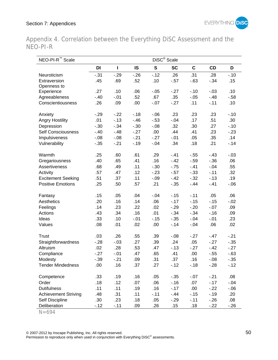

Appendix 4. Correlation between the Everything DiSC Assessment and the NEO-PI-R

| NEO-PI-R <sup>™</sup> Scale |         | DiSC <sup>®</sup> Scale |           |              |           |             |           |         |
|-----------------------------|---------|-------------------------|-----------|--------------|-----------|-------------|-----------|---------|
|                             | DI      | I                       | <b>IS</b> | $\mathbf{s}$ | <b>SC</b> | $\mathbf c$ | <b>CD</b> | D       |
| Neuroticism                 | $-0.31$ | $-0.29$                 | $-26$     | $-.12$       | .26       | .31         | .28       | $-.10$  |
| Extraversion                | .45     | .69                     | .52       | .10          | $-0.57$   | $-0.63$     | $-.34$    | .15     |
| Openness to                 |         |                         |           |              |           |             |           |         |
| Experience                  | .27     | .10                     | .06       | $-.05$       | $-27$     | $-.10$      | $-03$     | .10     |
| Agreeableness               | $-.40$  | $-0.01$                 | .52       | .67          | .35       | $-.05$      | $-48$     | $-0.58$ |
| Conscientiousness           | .26     | .09                     | .00       | $-.07$       | $-27$     | .11         | $-.11$    | .10     |
| Anxiety                     | $-29$   | $-22$                   | $-.18$    | $-0.06$      | .23       | .23         | .23       | $-.10$  |
| <b>Angry Hostility</b>      | .01     | $-0.13$                 | $-46$     | $-0.53$      | $-.04$    | .17         | .51       | .30     |
| Depression                  | $-.30$  | $-.34$                  | $-.30$    | $-0.08$      | .32       | .30         | .27       | $-.10$  |
| <b>Self Consciousness</b>   | $-.40$  | $-48$                   | $-27$     | .00          | .44       | .41         | .23       | $-23$   |
| Impulsiveness               | $-0.08$ | $-0.08$                 | $-21$     | $-27$        | $-0.01$   | .05         | .35       | .14     |
| Vulnerability               | $-0.35$ | $-.21$                  | $-.19$    | $-.04$       | .34       | .18         | .21       | $-.14$  |
| Warmth                      | .25     | .60                     | .61       | .29          | $-.41$    | $-0.55$     | $-43$     | $-.03$  |
| Gregariousness              | .40     | .65                     | .41       | .16          | $-.42$    | $-.59$      | $-0.36$   | .06     |
| Assertiveness               | .68     | .49                     | .11       | $-.30$       | $-0.75$   | $-.41$      | $-.04$    | .55     |
| Activity                    | .57     | .47                     | .12       | $-23$        | $-0.57$   | $-.33$      | $-.11$    | .32     |
| <b>Excitement Seeking</b>   | .51     | .37                     | .11       | $-.09$       | $-42$     | $-0.32$     | $-13$     | .19     |
| <b>Positive Emotions</b>    | .25     | .50                     | .57       | .21          | $-0.35$   | $-44$       | $-41$     | $-0.06$ |
| Fantasy                     | .15     | .05                     | .04       | $-.04$       | $-.15$    | $-.11$      | .05       | .06     |
| Aesthetics                  | .20     | .16                     | .14       | .06          | $-.17$    | $-.15$      | $-.15$    | $-.02$  |
| Feelings                    | .14     | .23                     | .22       | .02          | $-0.29$   | $-.20$      | $-.07$    | .09     |
| Actions                     | .43     | .34                     | .16       | .01          | $-.34$    | $-0.34$     | $-.16$    | .09     |
| Ideas                       | .33     | .10                     | $-.01$    | $-0.15$      | $-0.35$   | $-.04$      | $-.01$    | .23     |
| Values                      | .08     | .01                     | .02       | .00          | $-14$     | $-.04$      | .06       | .02     |
|                             |         |                         |           |              |           |             |           |         |
| <b>Trust</b>                | .03     | .26                     | .55       | .39          | $-0.08$   | $-27$       | $-47$     | $-21$   |
| Straightforwardness         | $-28$   | $-.03$                  | .27       | .39          | .24       | .05         | $-27$     | $-0.35$ |
| Altruism                    | .02     | .28                     | .53       | .47          | $-13$     | $-27$       | $-.42$    | $-27$   |
| Compliance                  | $-27$   | $-.01$                  | .47       | .65          | .41       | .00         | $-.55$    | $-0.63$ |
| Modesty                     | $-0.39$ | $-21$                   | .09       | .31          | .37       | .16         | $-0.08$   | $-0.35$ |
| <b>Tender Mindedness</b>    | .00     | .16                     | .37       | .27          | $-.12$    | $-.18$      | $-28$     | $-.12$  |
| Competence                  | .33     | .19                     | .16       | .05          | $-0.35$   | $-.07$      | $-21$     | .08     |
| Order                       | .18     | .12                     | .07       | .06          | $-.16$    | .07         | $-.17$    | $-.04$  |
| <b>Dutifulness</b>          | .11     | .11                     | .19       | .16          | $-17$     | .00.        | $-22$     | $-.06$  |
| <b>Achievement Striving</b> | .48     | .31                     | .11       | $-.11$       | $-44$     | $-0.15$     | $-.19$    | .20     |
| Self Discipline             | .30     | .23                     | .18       | .05          | $-29$     | $-.11$      | $-26$     | .08     |
| Deliberation                | $-.12$  | $-11$                   | .09       | .26          | .15       | .18         | $-.22$    | $-26$   |

N=694